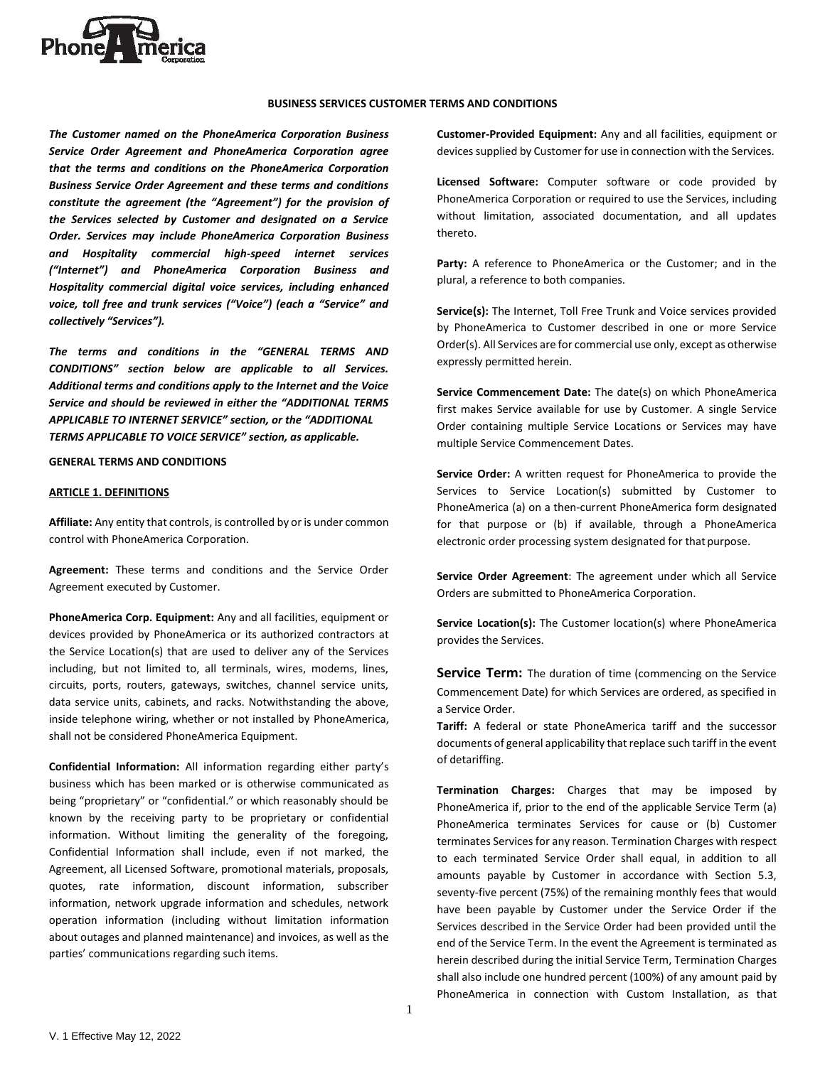

### **BUSINESS SERVICES CUSTOMER TERMS AND CONDITIONS**

*The Customer named on the PhoneAmerica Corporation Business Service Order Agreement and PhoneAmerica Corporation agree that the terms and conditions on the PhoneAmerica Corporation Business Service Order Agreement and these terms and conditions constitute the agreement (the "Agreement") for the provision of the Services selected by Customer and designated on a Service Order. Services may include PhoneAmerica Corporation Business and Hospitality commercial high-speed internet services ("Internet") and PhoneAmerica Corporation Business and Hospitality commercial digital voice services, including enhanced voice, toll free and trunk services ("Voice") (each a "Service" and collectively "Services").*

*The terms and conditions in the "GENERAL TERMS AND CONDITIONS" section below are applicable to all Services. Additional terms and conditions apply to the Internet and the Voice Service and should be reviewed in either the "ADDITIONAL TERMS APPLICABLE TO INTERNET SERVICE" section, or the "ADDITIONAL TERMS APPLICABLE TO VOICE SERVICE" section, as applicable.*

**GENERAL TERMS AND CONDITIONS** 

#### **ARTICLE 1. DEFINITIONS**

**Affiliate:** Any entity that controls, is controlled by or is under common control with PhoneAmerica Corporation.

**Agreement:** These terms and conditions and the Service Order Agreement executed by Customer.

**PhoneAmerica Corp. Equipment:** Any and all facilities, equipment or devices provided by PhoneAmerica or its authorized contractors at the Service Location(s) that are used to deliver any of the Services including, but not limited to, all terminals, wires, modems, lines, circuits, ports, routers, gateways, switches, channel service units, data service units, cabinets, and racks. Notwithstanding the above, inside telephone wiring, whether or not installed by PhoneAmerica, shall not be considered PhoneAmerica Equipment.

**Confidential Information:** All information regarding either party's business which has been marked or is otherwise communicated as being "proprietary" or "confidential." or which reasonably should be known by the receiving party to be proprietary or confidential information. Without limiting the generality of the foregoing, Confidential Information shall include, even if not marked, the Agreement, all Licensed Software, promotional materials, proposals, quotes, rate information, discount information, subscriber information, network upgrade information and schedules, network operation information (including without limitation information about outages and planned maintenance) and invoices, as well as the parties' communications regarding such items.

**Customer-Provided Equipment:** Any and all facilities, equipment or devices supplied by Customer for use in connection with the Services.

**Licensed Software:** Computer software or code provided by PhoneAmerica Corporation or required to use the Services, including without limitation, associated documentation, and all updates thereto.

Party: A reference to PhoneAmerica or the Customer; and in the plural, a reference to both companies.

**Service(s):** The Internet, Toll Free Trunk and Voice services provided by PhoneAmerica to Customer described in one or more Service Order(s). All Services are for commercial use only, except as otherwise expressly permitted herein.

**Service Commencement Date:** The date(s) on which PhoneAmerica first makes Service available for use by Customer. A single Service Order containing multiple Service Locations or Services may have multiple Service Commencement Dates.

**Service Order:** A written request for PhoneAmerica to provide the Services to Service Location(s) submitted by Customer to PhoneAmerica (a) on a then-current PhoneAmerica form designated for that purpose or (b) if available, through a PhoneAmerica electronic order processing system designated for that purpose.

**Service Order Agreement**: The agreement under which all Service Orders are submitted to PhoneAmerica Corporation.

**Service Location(s):** The Customer location(s) where PhoneAmerica provides the Services.

Service Term: The duration of time (commencing on the Service Commencement Date) for which Services are ordered, as specified in a Service Order.

**Tariff:** A federal or state PhoneAmerica tariff and the successor documents of general applicability that replace such tariff in the event of detariffing.

**Termination Charges:** Charges that may be imposed by PhoneAmerica if, prior to the end of the applicable Service Term (a) PhoneAmerica terminates Services for cause or (b) Customer terminates Services for any reason. Termination Charges with respect to each terminated Service Order shall equal, in addition to all amounts payable by Customer in accordance with Section 5.3, seventy-five percent (75%) of the remaining monthly fees that would have been payable by Customer under the Service Order if the Services described in the Service Order had been provided until the end of the Service Term. In the event the Agreement is terminated as herein described during the initial Service Term, Termination Charges shall also include one hundred percent (100%) of any amount paid by PhoneAmerica in connection with Custom Installation, as that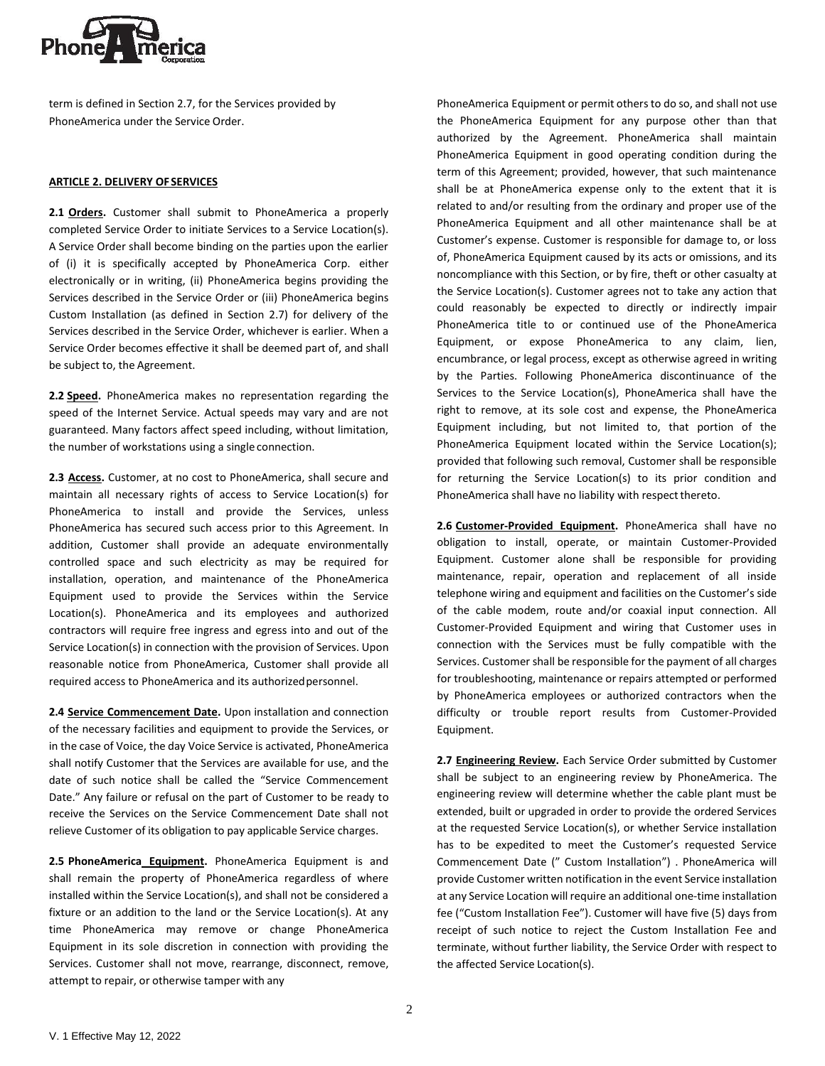

term is defined in Section 2.7, for the Services provided by PhoneAmerica under the Service Order.

### **ARTICLE 2. DELIVERY OF SERVICES**

**2.1 Orders.** Customer shall submit to PhoneAmerica a properly completed Service Order to initiate Services to a Service Location(s). A Service Order shall become binding on the parties upon the earlier of (i) it is specifically accepted by PhoneAmerica Corp. either electronically or in writing, (ii) PhoneAmerica begins providing the Services described in the Service Order or (iii) PhoneAmerica begins Custom Installation (as defined in Section 2.7) for delivery of the Services described in the Service Order, whichever is earlier. When a Service Order becomes effective it shall be deemed part of, and shall be subject to, the Agreement.

**2.2 Speed.** PhoneAmerica makes no representation regarding the speed of the Internet Service. Actual speeds may vary and are not guaranteed. Many factors affect speed including, without limitation, the number of workstations using a single connection.

**2.3 Access.** Customer, at no cost to PhoneAmerica, shall secure and maintain all necessary rights of access to Service Location(s) for PhoneAmerica to install and provide the Services, unless PhoneAmerica has secured such access prior to this Agreement. In addition, Customer shall provide an adequate environmentally controlled space and such electricity as may be required for installation, operation, and maintenance of the PhoneAmerica Equipment used to provide the Services within the Service Location(s). PhoneAmerica and its employees and authorized contractors will require free ingress and egress into and out of the Service Location(s) in connection with the provision of Services. Upon reasonable notice from PhoneAmerica, Customer shall provide all required access to PhoneAmerica and its authorizedpersonnel.

**2.4 Service Commencement Date.** Upon installation and connection of the necessary facilities and equipment to provide the Services, or in the case of Voice, the day Voice Service is activated, PhoneAmerica shall notify Customer that the Services are available for use, and the date of such notice shall be called the "Service Commencement Date." Any failure or refusal on the part of Customer to be ready to receive the Services on the Service Commencement Date shall not relieve Customer of its obligation to pay applicable Service charges.

**2.5 PhoneAmerica Equipment.** PhoneAmerica Equipment is and shall remain the property of PhoneAmerica regardless of where installed within the Service Location(s), and shall not be considered a fixture or an addition to the land or the Service Location(s). At any time PhoneAmerica may remove or change PhoneAmerica Equipment in its sole discretion in connection with providing the Services. Customer shall not move, rearrange, disconnect, remove, attempt to repair, or otherwise tamper with any

PhoneAmerica Equipment or permit others to do so, and shall not use the PhoneAmerica Equipment for any purpose other than that authorized by the Agreement. PhoneAmerica shall maintain PhoneAmerica Equipment in good operating condition during the term of this Agreement; provided, however, that such maintenance shall be at PhoneAmerica expense only to the extent that it is related to and/or resulting from the ordinary and proper use of the PhoneAmerica Equipment and all other maintenance shall be at Customer's expense. Customer is responsible for damage to, or loss of, PhoneAmerica Equipment caused by its acts or omissions, and its noncompliance with this Section, or by fire, theft or other casualty at the Service Location(s). Customer agrees not to take any action that could reasonably be expected to directly or indirectly impair PhoneAmerica title to or continued use of the PhoneAmerica Equipment, or expose PhoneAmerica to any claim, lien, encumbrance, or legal process, except as otherwise agreed in writing by the Parties. Following PhoneAmerica discontinuance of the Services to the Service Location(s), PhoneAmerica shall have the right to remove, at its sole cost and expense, the PhoneAmerica Equipment including, but not limited to, that portion of the PhoneAmerica Equipment located within the Service Location(s); provided that following such removal, Customer shall be responsible for returning the Service Location(s) to its prior condition and PhoneAmerica shall have no liability with respect thereto.

**2.6 Customer-Provided Equipment.** PhoneAmerica shall have no obligation to install, operate, or maintain Customer-Provided Equipment. Customer alone shall be responsible for providing maintenance, repair, operation and replacement of all inside telephone wiring and equipment and facilities on the Customer's side of the cable modem, route and/or coaxial input connection. All Customer-Provided Equipment and wiring that Customer uses in connection with the Services must be fully compatible with the Services. Customer shall be responsible for the payment of all charges for troubleshooting, maintenance or repairs attempted or performed by PhoneAmerica employees or authorized contractors when the difficulty or trouble report results from Customer-Provided Equipment.

**2.7 Engineering Review.** Each Service Order submitted by Customer shall be subject to an engineering review by PhoneAmerica. The engineering review will determine whether the cable plant must be extended, built or upgraded in order to provide the ordered Services at the requested Service Location(s), or whether Service installation has to be expedited to meet the Customer's requested Service Commencement Date (" Custom Installation") . PhoneAmerica will provide Customer written notification in the event Service installation at any Service Location will require an additional one-time installation fee ("Custom Installation Fee"). Customer will have five (5) days from receipt of such notice to reject the Custom Installation Fee and terminate, without further liability, the Service Order with respect to the affected Service Location(s).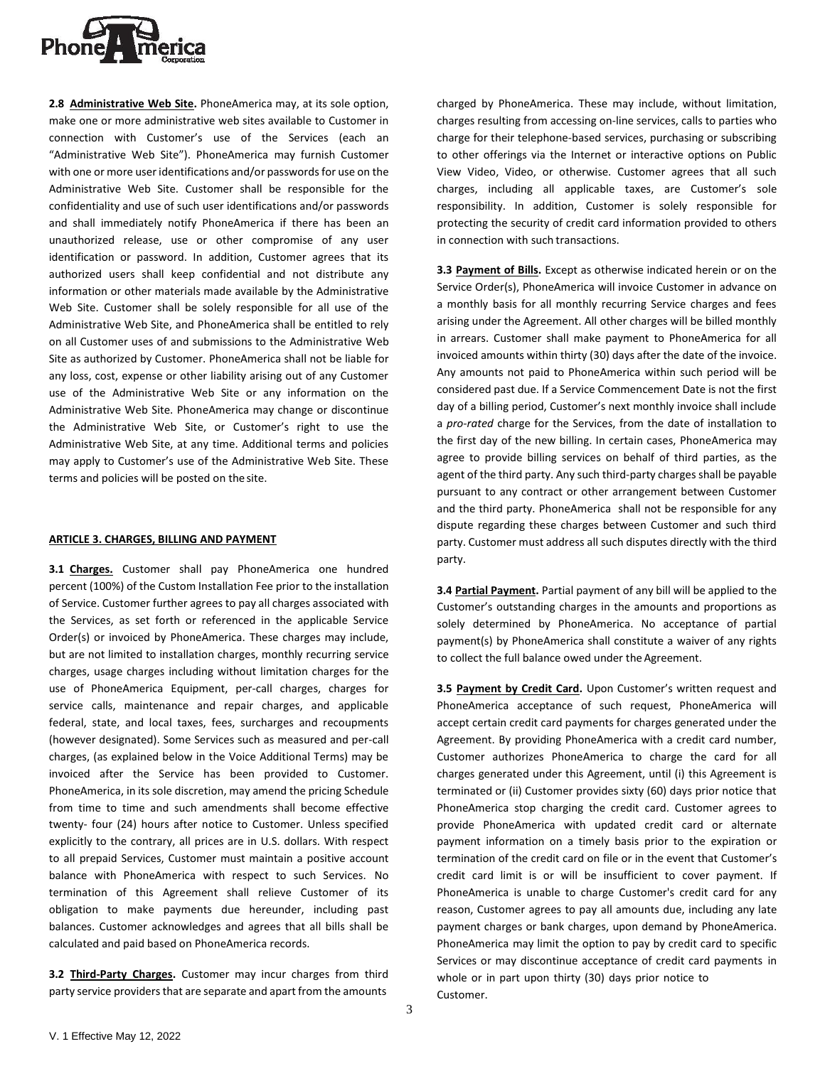

**2.8 Administrative Web Site.** PhoneAmerica may, at its sole option, make one or more administrative web sites available to Customer in connection with Customer's use of the Services (each an "Administrative Web Site"). PhoneAmerica may furnish Customer with one or more user identifications and/or passwords for use on the Administrative Web Site. Customer shall be responsible for the confidentiality and use of such user identifications and/or passwords and shall immediately notify PhoneAmerica if there has been an unauthorized release, use or other compromise of any user identification or password. In addition, Customer agrees that its authorized users shall keep confidential and not distribute any information or other materials made available by the Administrative Web Site. Customer shall be solely responsible for all use of the Administrative Web Site, and PhoneAmerica shall be entitled to rely on all Customer uses of and submissions to the Administrative Web Site as authorized by Customer. PhoneAmerica shall not be liable for any loss, cost, expense or other liability arising out of any Customer use of the Administrative Web Site or any information on the Administrative Web Site. PhoneAmerica may change or discontinue the Administrative Web Site, or Customer's right to use the Administrative Web Site, at any time. Additional terms and policies may apply to Customer's use of the Administrative Web Site. These terms and policies will be posted on the site.

#### **ARTICLE 3. CHARGES, BILLING AND PAYMENT**

**3.1 Charges.** Customer shall pay PhoneAmerica one hundred percent (100%) of the Custom Installation Fee prior to the installation of Service. Customer further agrees to pay all charges associated with the Services, as set forth or referenced in the applicable Service Order(s) or invoiced by PhoneAmerica. These charges may include, but are not limited to installation charges, monthly recurring service charges, usage charges including without limitation charges for the use of PhoneAmerica Equipment, per-call charges, charges for service calls, maintenance and repair charges, and applicable federal, state, and local taxes, fees, surcharges and recoupments (however designated). Some Services such as measured and per-call charges, (as explained below in the Voice Additional Terms) may be invoiced after the Service has been provided to Customer. PhoneAmerica, in its sole discretion, may amend the pricing Schedule from time to time and such amendments shall become effective twenty- four (24) hours after notice to Customer. Unless specified explicitly to the contrary, all prices are in U.S. dollars. With respect to all prepaid Services, Customer must maintain a positive account balance with PhoneAmerica with respect to such Services. No termination of this Agreement shall relieve Customer of its obligation to make payments due hereunder, including past balances. Customer acknowledges and agrees that all bills shall be calculated and paid based on PhoneAmerica records.

**3.2 Third-Party Charges.** Customer may incur charges from third party service providers that are separate and apart from the amounts

charged by PhoneAmerica. These may include, without limitation, charges resulting from accessing on-line services, calls to parties who charge for their telephone-based services, purchasing or subscribing to other offerings via the Internet or interactive options on Public View Video, Video, or otherwise. Customer agrees that all such charges, including all applicable taxes, are Customer's sole responsibility. In addition, Customer is solely responsible for protecting the security of credit card information provided to others in connection with such transactions.

**3.3 Payment of Bills.** Except as otherwise indicated herein or on the Service Order(s), PhoneAmerica will invoice Customer in advance on a monthly basis for all monthly recurring Service charges and fees arising under the Agreement. All other charges will be billed monthly in arrears. Customer shall make payment to PhoneAmerica for all invoiced amounts within thirty (30) days after the date of the invoice. Any amounts not paid to PhoneAmerica within such period will be considered past due. If a Service Commencement Date is not the first day of a billing period, Customer's next monthly invoice shall include a *pro-rated* charge for the Services, from the date of installation to the first day of the new billing. In certain cases, PhoneAmerica may agree to provide billing services on behalf of third parties, as the agent of the third party. Any such third-party charges shall be payable pursuant to any contract or other arrangement between Customer and the third party. PhoneAmerica shall not be responsible for any dispute regarding these charges between Customer and such third party. Customer must address all such disputes directly with the third party.

**3.4 Partial Payment.** Partial payment of any bill will be applied to the Customer's outstanding charges in the amounts and proportions as solely determined by PhoneAmerica. No acceptance of partial payment(s) by PhoneAmerica shall constitute a waiver of any rights to collect the full balance owed under the Agreement.

**3.5 Payment by Credit Card.** Upon Customer's written request and PhoneAmerica acceptance of such request, PhoneAmerica will accept certain credit card payments for charges generated under the Agreement. By providing PhoneAmerica with a credit card number, Customer authorizes PhoneAmerica to charge the card for all charges generated under this Agreement, until (i) this Agreement is terminated or (ii) Customer provides sixty (60) days prior notice that PhoneAmerica stop charging the credit card. Customer agrees to provide PhoneAmerica with updated credit card or alternate payment information on a timely basis prior to the expiration or termination of the credit card on file or in the event that Customer's credit card limit is or will be insufficient to cover payment. If PhoneAmerica is unable to charge Customer's credit card for any reason, Customer agrees to pay all amounts due, including any late payment charges or bank charges, upon demand by PhoneAmerica. PhoneAmerica may limit the option to pay by credit card to specific Services or may discontinue acceptance of credit card payments in whole or in part upon thirty (30) days prior notice to Customer.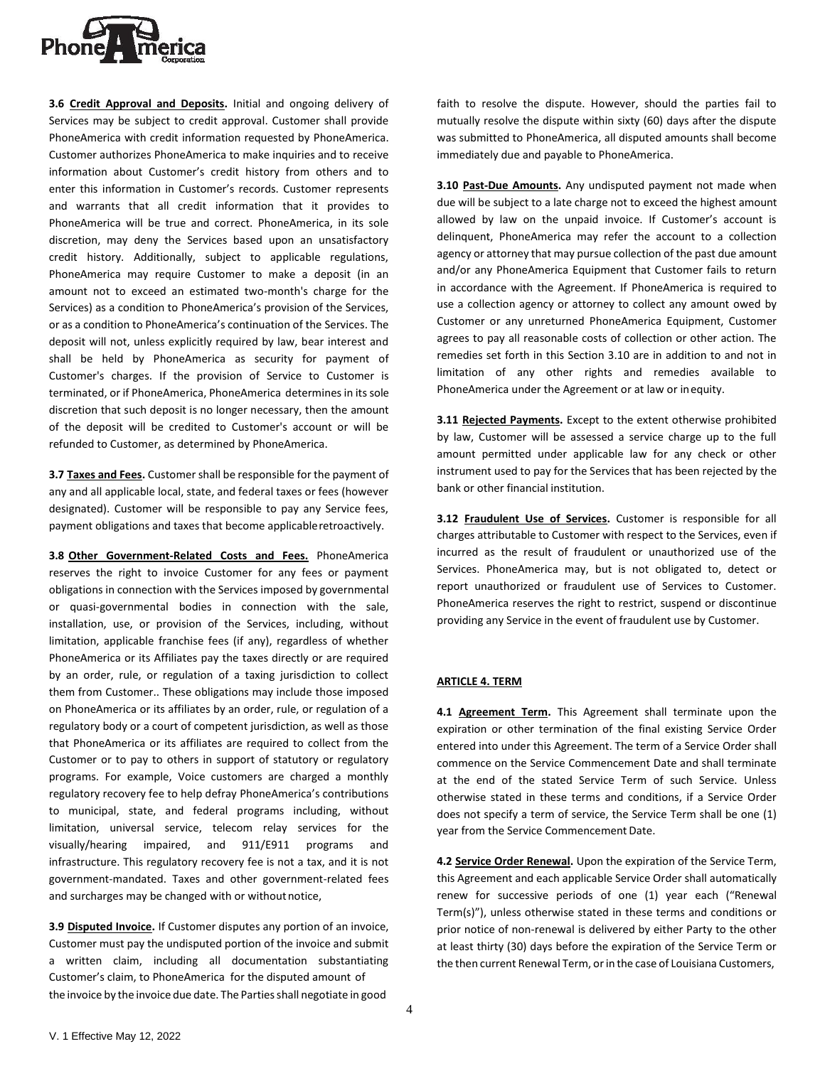

**3.6 Credit Approval and Deposits.** Initial and ongoing delivery of Services may be subject to credit approval. Customer shall provide PhoneAmerica with credit information requested by PhoneAmerica. Customer authorizes PhoneAmerica to make inquiries and to receive information about Customer's credit history from others and to enter this information in Customer's records. Customer represents and warrants that all credit information that it provides to PhoneAmerica will be true and correct. PhoneAmerica, in its sole discretion, may deny the Services based upon an unsatisfactory credit history. Additionally, subject to applicable regulations, PhoneAmerica may require Customer to make a deposit (in an amount not to exceed an estimated two-month's charge for the Services) as a condition to PhoneAmerica's provision of the Services, or as a condition to PhoneAmerica's continuation of the Services. The deposit will not, unless explicitly required by law, bear interest and shall be held by PhoneAmerica as security for payment of Customer's charges. If the provision of Service to Customer is terminated, or if PhoneAmerica, PhoneAmerica determines in its sole discretion that such deposit is no longer necessary, then the amount of the deposit will be credited to Customer's account or will be refunded to Customer, as determined by PhoneAmerica.

**3.7 Taxes and Fees.** Customer shall be responsible for the payment of any and all applicable local, state, and federal taxes or fees (however designated). Customer will be responsible to pay any Service fees, payment obligations and taxes that become applicableretroactively.

**3.8 Other Government-Related Costs and Fees.** PhoneAmerica reserves the right to invoice Customer for any fees or payment obligations in connection with the Services imposed by governmental or quasi-governmental bodies in connection with the sale, installation, use, or provision of the Services, including, without limitation, applicable franchise fees (if any), regardless of whether PhoneAmerica or its Affiliates pay the taxes directly or are required by an order, rule, or regulation of a taxing jurisdiction to collect them from Customer.. These obligations may include those imposed on PhoneAmerica or its affiliates by an order, rule, or regulation of a regulatory body or a court of competent jurisdiction, as well as those that PhoneAmerica or its affiliates are required to collect from the Customer or to pay to others in support of statutory or regulatory programs. For example, Voice customers are charged a monthly regulatory recovery fee to help defray PhoneAmerica's contributions to municipal, state, and federal programs including, without limitation, universal service, telecom relay services for the visually/hearing impaired, and 911/E911 programs and infrastructure. This regulatory recovery fee is not a tax, and it is not government-mandated. Taxes and other government-related fees and surcharges may be changed with or without notice,

**3.9 Disputed Invoice.** If Customer disputes any portion of an invoice, Customer must pay the undisputed portion of the invoice and submit a written claim, including all documentation substantiating Customer's claim, to PhoneAmerica for the disputed amount of the invoice by the invoice due date. The Parties shall negotiate in good

faith to resolve the dispute. However, should the parties fail to mutually resolve the dispute within sixty (60) days after the dispute was submitted to PhoneAmerica, all disputed amounts shall become immediately due and payable to PhoneAmerica.

**3.10 Past-Due Amounts.** Any undisputed payment not made when due will be subject to a late charge not to exceed the highest amount allowed by law on the unpaid invoice. If Customer's account is delinquent, PhoneAmerica may refer the account to a collection agency or attorney that may pursue collection of the past due amount and/or any PhoneAmerica Equipment that Customer fails to return in accordance with the Agreement. If PhoneAmerica is required to use a collection agency or attorney to collect any amount owed by Customer or any unreturned PhoneAmerica Equipment, Customer agrees to pay all reasonable costs of collection or other action. The remedies set forth in this Section 3.10 are in addition to and not in limitation of any other rights and remedies available to PhoneAmerica under the Agreement or at law or inequity.

**3.11 Rejected Payments.** Except to the extent otherwise prohibited by law, Customer will be assessed a service charge up to the full amount permitted under applicable law for any check or other instrument used to pay for the Services that has been rejected by the bank or other financial institution.

**3.12 Fraudulent Use of Services.** Customer is responsible for all charges attributable to Customer with respect to the Services, even if incurred as the result of fraudulent or unauthorized use of the Services. PhoneAmerica may, but is not obligated to, detect or report unauthorized or fraudulent use of Services to Customer. PhoneAmerica reserves the right to restrict, suspend or discontinue providing any Service in the event of fraudulent use by Customer.

### **ARTICLE 4. TERM**

**4.1 Agreement Term.** This Agreement shall terminate upon the expiration or other termination of the final existing Service Order entered into under this Agreement. The term of a Service Order shall commence on the Service Commencement Date and shall terminate at the end of the stated Service Term of such Service. Unless otherwise stated in these terms and conditions, if a Service Order does not specify a term of service, the Service Term shall be one (1) year from the Service Commencement Date.

**4.2 Service Order Renewal.** Upon the expiration of the Service Term, this Agreement and each applicable Service Order shall automatically renew for successive periods of one (1) year each ("Renewal Term(s)"), unless otherwise stated in these terms and conditions or prior notice of non-renewal is delivered by either Party to the other at least thirty (30) days before the expiration of the Service Term or the then current Renewal Term, or in the case of Louisiana Customers,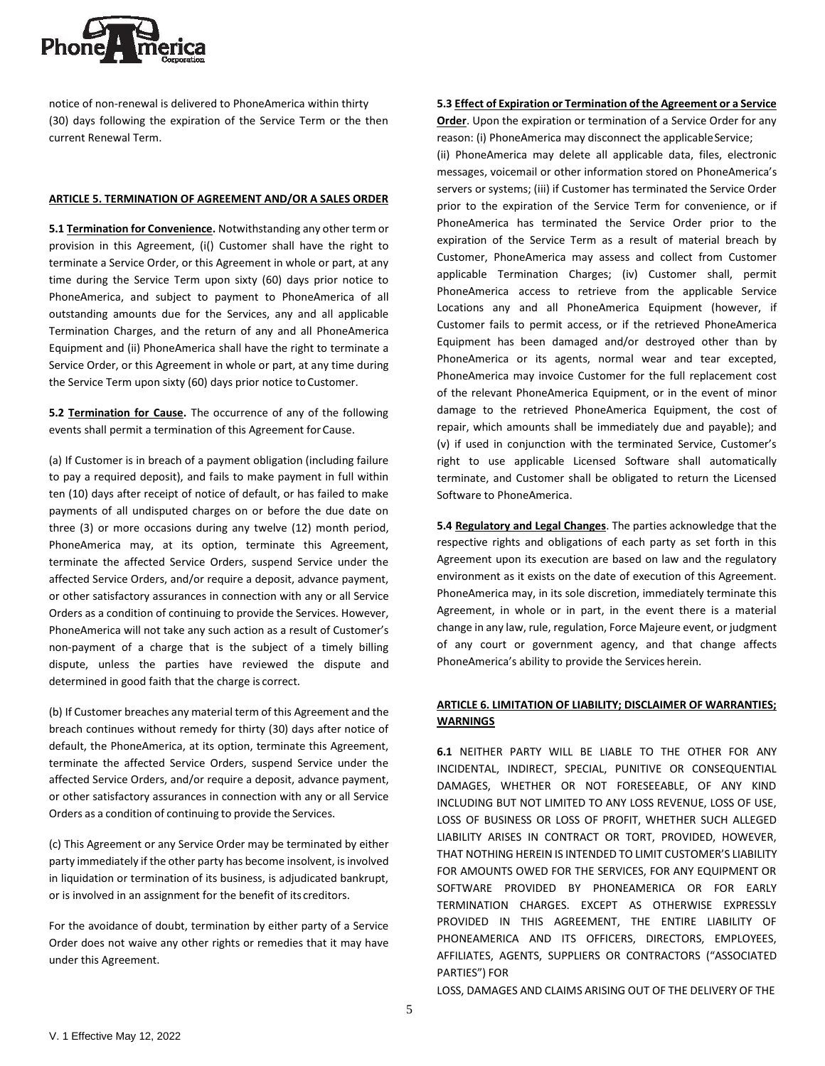

notice of non-renewal is delivered to PhoneAmerica within thirty (30) days following the expiration of the Service Term or the then current Renewal Term.

### **ARTICLE 5. TERMINATION OF AGREEMENT AND/OR A SALES ORDER**

**5.1 Termination for Convenience.** Notwithstanding any other term or provision in this Agreement, (i() Customer shall have the right to terminate a Service Order, or this Agreement in whole or part, at any time during the Service Term upon sixty (60) days prior notice to PhoneAmerica, and subject to payment to PhoneAmerica of all outstanding amounts due for the Services, any and all applicable Termination Charges, and the return of any and all PhoneAmerica Equipment and (ii) PhoneAmerica shall have the right to terminate a Service Order, or this Agreement in whole or part, at any time during the Service Term upon sixty (60) days prior notice to Customer.

**5.2 Termination for Cause.** The occurrence of any of the following events shall permit a termination of this Agreement for Cause.

(a) If Customer is in breach of a payment obligation (including failure to pay a required deposit), and fails to make payment in full within ten (10) days after receipt of notice of default, or has failed to make payments of all undisputed charges on or before the due date on three (3) or more occasions during any twelve (12) month period, PhoneAmerica may, at its option, terminate this Agreement, terminate the affected Service Orders, suspend Service under the affected Service Orders, and/or require a deposit, advance payment, or other satisfactory assurances in connection with any or all Service Orders as a condition of continuing to provide the Services. However, PhoneAmerica will not take any such action as a result of Customer's non-payment of a charge that is the subject of a timely billing dispute, unless the parties have reviewed the dispute and determined in good faith that the charge is correct.

(b) If Customer breaches any material term of this Agreement and the breach continues without remedy for thirty (30) days after notice of default, the PhoneAmerica, at its option, terminate this Agreement, terminate the affected Service Orders, suspend Service under the affected Service Orders, and/or require a deposit, advance payment, or other satisfactory assurances in connection with any or all Service Orders as a condition of continuing to provide the Services.

(c) This Agreement or any Service Order may be terminated by either party immediately if the other party has become insolvent, is involved in liquidation or termination of its business, is adjudicated bankrupt, or is involved in an assignment for the benefit of its creditors.

For the avoidance of doubt, termination by either party of a Service Order does not waive any other rights or remedies that it may have under this Agreement.

## **5.3 Effect of Expiration or Termination of the Agreement or a Service**

**Order**. Upon the expiration or termination of a Service Order for any reason: (i) PhoneAmerica may disconnect the applicable Service;

(ii) PhoneAmerica may delete all applicable data, files, electronic messages, voicemail or other information stored on PhoneAmerica's servers or systems; (iii) if Customer has terminated the Service Order prior to the expiration of the Service Term for convenience, or if PhoneAmerica has terminated the Service Order prior to the expiration of the Service Term as a result of material breach by Customer, PhoneAmerica may assess and collect from Customer applicable Termination Charges; (iv) Customer shall, permit PhoneAmerica access to retrieve from the applicable Service Locations any and all PhoneAmerica Equipment (however, if Customer fails to permit access, or if the retrieved PhoneAmerica Equipment has been damaged and/or destroyed other than by PhoneAmerica or its agents, normal wear and tear excepted, PhoneAmerica may invoice Customer for the full replacement cost of the relevant PhoneAmerica Equipment, or in the event of minor damage to the retrieved PhoneAmerica Equipment, the cost of repair, which amounts shall be immediately due and payable); and (v) if used in conjunction with the terminated Service, Customer's right to use applicable Licensed Software shall automatically terminate, and Customer shall be obligated to return the Licensed Software to PhoneAmerica.

**5.4 Regulatory and Legal Changes**. The parties acknowledge that the respective rights and obligations of each party as set forth in this Agreement upon its execution are based on law and the regulatory environment as it exists on the date of execution of this Agreement. PhoneAmerica may, in its sole discretion, immediately terminate this Agreement, in whole or in part, in the event there is a material change in any law, rule, regulation, Force Majeure event, or judgment of any court or government agency, and that change affects PhoneAmerica's ability to provide the Services herein.

# **ARTICLE 6. LIMITATION OF LIABILITY; DISCLAIMER OF WARRANTIES; WARNINGS**

**6.1** NEITHER PARTY WILL BE LIABLE TO THE OTHER FOR ANY INCIDENTAL, INDIRECT, SPECIAL, PUNITIVE OR CONSEQUENTIAL DAMAGES, WHETHER OR NOT FORESEEABLE, OF ANY KIND INCLUDING BUT NOT LIMITED TO ANY LOSS REVENUE, LOSS OF USE, LOSS OF BUSINESS OR LOSS OF PROFIT, WHETHER SUCH ALLEGED LIABILITY ARISES IN CONTRACT OR TORT, PROVIDED, HOWEVER, THAT NOTHING HEREIN IS INTENDED TO LIMIT CUSTOMER'S LIABILITY FOR AMOUNTS OWED FOR THE SERVICES, FOR ANY EQUIPMENT OR SOFTWARE PROVIDED BY PHONEAMERICA OR FOR EARLY TERMINATION CHARGES. EXCEPT AS OTHERWISE EXPRESSLY PROVIDED IN THIS AGREEMENT, THE ENTIRE LIABILITY OF PHONEAMERICA AND ITS OFFICERS, DIRECTORS, EMPLOYEES, AFFILIATES, AGENTS, SUPPLIERS OR CONTRACTORS ("ASSOCIATED PARTIES") FOR

LOSS, DAMAGES AND CLAIMS ARISING OUT OF THE DELIVERY OF THE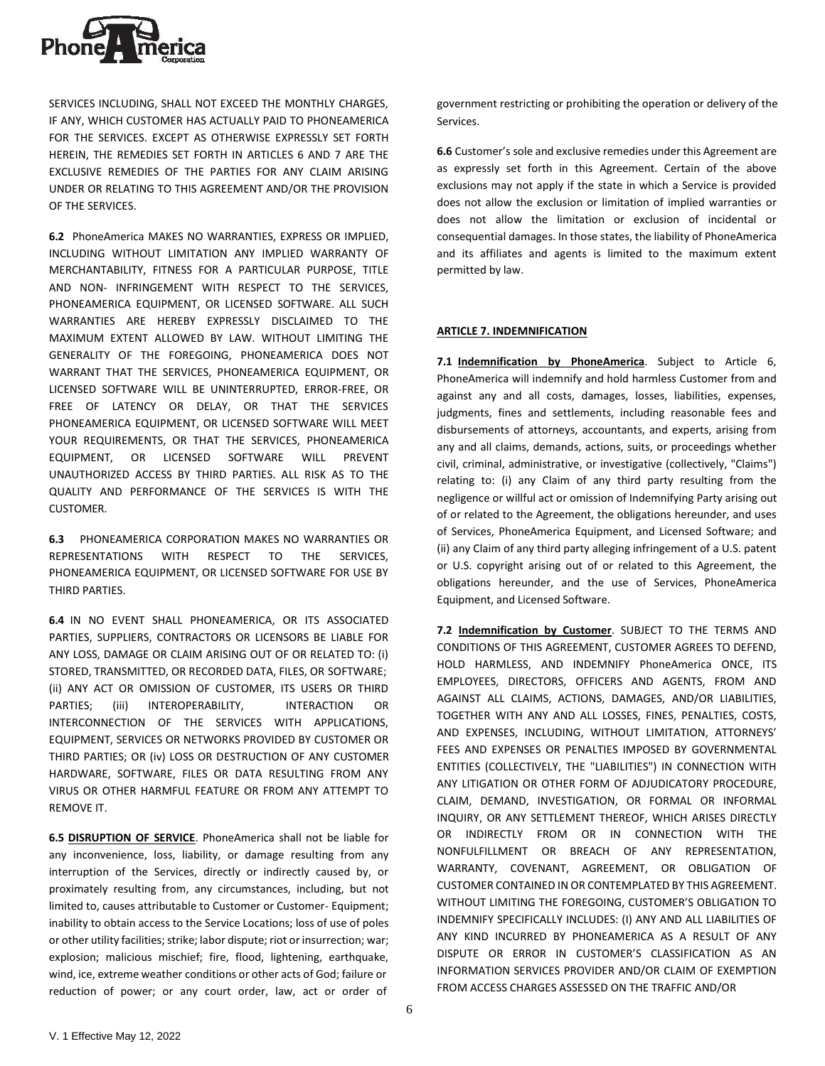

SERVICES INCLUDING, SHALL NOT EXCEED THE MONTHLY CHARGES, IF ANY, WHICH CUSTOMER HAS ACTUALLY PAID TO PHONEAMERICA FOR THE SERVICES. EXCEPT AS OTHERWISE EXPRESSLY SET FORTH HEREIN, THE REMEDIES SET FORTH IN ARTICLES 6 AND 7 ARE THE EXCLUSIVE REMEDIES OF THE PARTIES FOR ANY CLAIM ARISING UNDER OR RELATING TO THIS AGREEMENT AND/OR THE PROVISION OF THE SERVICES.

**6.2** PhoneAmerica MAKES NO WARRANTIES, EXPRESS OR IMPLIED, INCLUDING WITHOUT LIMITATION ANY IMPLIED WARRANTY OF MERCHANTABILITY, FITNESS FOR A PARTICULAR PURPOSE, TITLE AND NON- INFRINGEMENT WITH RESPECT TO THE SERVICES, PHONEAMERICA EQUIPMENT, OR LICENSED SOFTWARE. ALL SUCH WARRANTIES ARE HEREBY EXPRESSLY DISCLAIMED TO THE MAXIMUM EXTENT ALLOWED BY LAW. WITHOUT LIMITING THE GENERALITY OF THE FOREGOING, PHONEAMERICA DOES NOT WARRANT THAT THE SERVICES, PHONEAMERICA EQUIPMENT, OR LICENSED SOFTWARE WILL BE UNINTERRUPTED, ERROR-FREE, OR FREE OF LATENCY OR DELAY, OR THAT THE SERVICES PHONEAMERICA EQUIPMENT, OR LICENSED SOFTWARE WILL MEET YOUR REQUIREMENTS, OR THAT THE SERVICES, PHONEAMERICA EQUIPMENT, OR LICENSED SOFTWARE WILL PREVENT UNAUTHORIZED ACCESS BY THIRD PARTIES. ALL RISK AS TO THE QUALITY AND PERFORMANCE OF THE SERVICES IS WITH THE CUSTOMER.

**6.3** PHONEAMERICA CORPORATION MAKES NO WARRANTIES OR REPRESENTATIONS WITH RESPECT TO THE SERVICES, PHONEAMERICA EQUIPMENT, OR LICENSED SOFTWARE FOR USE BY THIRD PARTIES.

**6.4** IN NO EVENT SHALL PHONEAMERICA, OR ITS ASSOCIATED PARTIES, SUPPLIERS, CONTRACTORS OR LICENSORS BE LIABLE FOR ANY LOSS, DAMAGE OR CLAIM ARISING OUT OF OR RELATED TO: (i) STORED, TRANSMITTED, OR RECORDED DATA, FILES, OR SOFTWARE; (ii) ANY ACT OR OMISSION OF CUSTOMER, ITS USERS OR THIRD PARTIES; (iii) INTEROPERABILITY, INTERACTION OR INTERCONNECTION OF THE SERVICES WITH APPLICATIONS, EQUIPMENT, SERVICES OR NETWORKS PROVIDED BY CUSTOMER OR THIRD PARTIES; OR (iv) LOSS OR DESTRUCTION OF ANY CUSTOMER HARDWARE, SOFTWARE, FILES OR DATA RESULTING FROM ANY VIRUS OR OTHER HARMFUL FEATURE OR FROM ANY ATTEMPT TO REMOVE IT.

**6.5 DISRUPTION OF SERVICE**. PhoneAmerica shall not be liable for any inconvenience, loss, liability, or damage resulting from any interruption of the Services, directly or indirectly caused by, or proximately resulting from, any circumstances, including, but not limited to, causes attributable to Customer or Customer- Equipment; inability to obtain access to the Service Locations; loss of use of poles or other utility facilities; strike; labor dispute; riot or insurrection; war; explosion; malicious mischief; fire, flood, lightening, earthquake, wind, ice, extreme weather conditions or other acts of God; failure or reduction of power; or any court order, law, act or order of

government restricting or prohibiting the operation or delivery of the Services.

**6.6** Customer's sole and exclusive remedies under this Agreement are as expressly set forth in this Agreement. Certain of the above exclusions may not apply if the state in which a Service is provided does not allow the exclusion or limitation of implied warranties or does not allow the limitation or exclusion of incidental or consequential damages. In those states, the liability of PhoneAmerica and its affiliates and agents is limited to the maximum extent permitted by law.

## **ARTICLE 7. INDEMNIFICATION**

**7.1 Indemnification by PhoneAmerica**. Subject to Article 6, PhoneAmerica will indemnify and hold harmless Customer from and against any and all costs, damages, losses, liabilities, expenses, judgments, fines and settlements, including reasonable fees and disbursements of attorneys, accountants, and experts, arising from any and all claims, demands, actions, suits, or proceedings whether civil, criminal, administrative, or investigative (collectively, "Claims") relating to: (i) any Claim of any third party resulting from the negligence or willful act or omission of Indemnifying Party arising out of or related to the Agreement, the obligations hereunder, and uses of Services, PhoneAmerica Equipment, and Licensed Software; and (ii) any Claim of any third party alleging infringement of a U.S. patent or U.S. copyright arising out of or related to this Agreement, the obligations hereunder, and the use of Services, PhoneAmerica Equipment, and Licensed Software.

**7.2 Indemnification by Customer**. SUBJECT TO THE TERMS AND CONDITIONS OF THIS AGREEMENT, CUSTOMER AGREES TO DEFEND, HOLD HARMLESS, AND INDEMNIFY PhoneAmerica ONCE, ITS EMPLOYEES, DIRECTORS, OFFICERS AND AGENTS, FROM AND AGAINST ALL CLAIMS, ACTIONS, DAMAGES, AND/OR LIABILITIES, TOGETHER WITH ANY AND ALL LOSSES, FINES, PENALTIES, COSTS, AND EXPENSES, INCLUDING, WITHOUT LIMITATION, ATTORNEYS' FEES AND EXPENSES OR PENALTIES IMPOSED BY GOVERNMENTAL ENTITIES (COLLECTIVELY, THE "LIABILITIES") IN CONNECTION WITH ANY LITIGATION OR OTHER FORM OF ADJUDICATORY PROCEDURE, CLAIM, DEMAND, INVESTIGATION, OR FORMAL OR INFORMAL INQUIRY, OR ANY SETTLEMENT THEREOF, WHICH ARISES DIRECTLY OR INDIRECTLY FROM OR IN CONNECTION WITH THE NONFULFILLMENT OR BREACH OF ANY REPRESENTATION, WARRANTY, COVENANT, AGREEMENT, OR OBLIGATION OF CUSTOMER CONTAINED IN OR CONTEMPLATED BY THIS AGREEMENT. WITHOUT LIMITING THE FOREGOING, CUSTOMER'S OBLIGATION TO INDEMNIFY SPECIFICALLY INCLUDES: (I) ANY AND ALL LIABILITIES OF ANY KIND INCURRED BY PHONEAMERICA AS A RESULT OF ANY DISPUTE OR ERROR IN CUSTOMER'S CLASSIFICATION AS AN INFORMATION SERVICES PROVIDER AND/OR CLAIM OF EXEMPTION FROM ACCESS CHARGES ASSESSED ON THE TRAFFIC AND/OR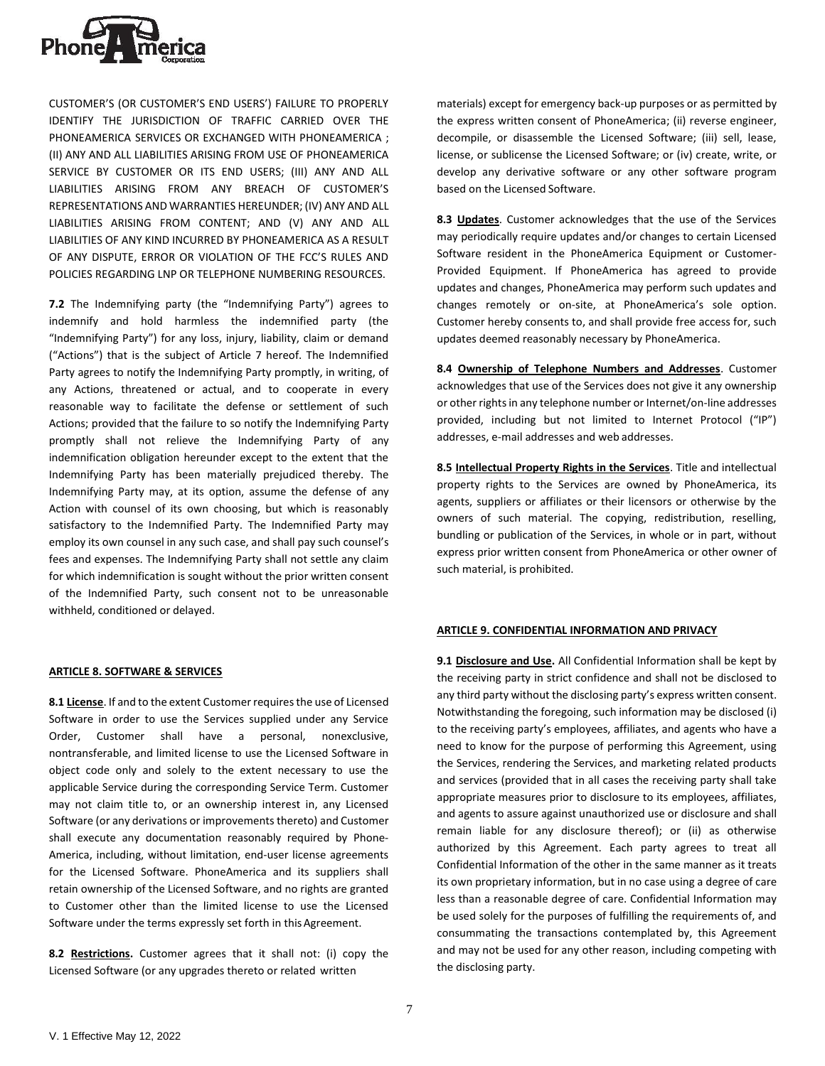

CUSTOMER'S (OR CUSTOMER'S END USERS') FAILURE TO PROPERLY IDENTIFY THE JURISDICTION OF TRAFFIC CARRIED OVER THE PHONEAMERICA SERVICES OR EXCHANGED WITH PHONEAMERICA ; (II) ANY AND ALL LIABILITIES ARISING FROM USE OF PHONEAMERICA SERVICE BY CUSTOMER OR ITS END USERS; (III) ANY AND ALL LIABILITIES ARISING FROM ANY BREACH OF CUSTOMER'S REPRESENTATIONS AND WARRANTIES HEREUNDER; (IV) ANY AND ALL LIABILITIES ARISING FROM CONTENT; AND (V) ANY AND ALL LIABILITIES OF ANY KIND INCURRED BY PHONEAMERICA AS A RESULT OF ANY DISPUTE, ERROR OR VIOLATION OF THE FCC'S RULES AND POLICIES REGARDING LNP OR TELEPHONE NUMBERING RESOURCES.

**7.2** The Indemnifying party (the "Indemnifying Party") agrees to indemnify and hold harmless the indemnified party (the "Indemnifying Party") for any loss, injury, liability, claim or demand ("Actions") that is the subject of Article 7 hereof. The Indemnified Party agrees to notify the Indemnifying Party promptly, in writing, of any Actions, threatened or actual, and to cooperate in every reasonable way to facilitate the defense or settlement of such Actions; provided that the failure to so notify the Indemnifying Party promptly shall not relieve the Indemnifying Party of any indemnification obligation hereunder except to the extent that the Indemnifying Party has been materially prejudiced thereby. The Indemnifying Party may, at its option, assume the defense of any Action with counsel of its own choosing, but which is reasonably satisfactory to the Indemnified Party. The Indemnified Party may employ its own counsel in any such case, and shall pay such counsel's fees and expenses. The Indemnifying Party shall not settle any claim for which indemnification is sought without the prior written consent of the Indemnified Party, such consent not to be unreasonable withheld, conditioned or delayed.

### **ARTICLE 8. SOFTWARE & SERVICES**

8.1 **License**. If and to the extent Customer requires the use of Licensed Software in order to use the Services supplied under any Service Order, Customer shall have a personal, nonexclusive, nontransferable, and limited license to use the Licensed Software in object code only and solely to the extent necessary to use the applicable Service during the corresponding Service Term. Customer may not claim title to, or an ownership interest in, any Licensed Software (or any derivations or improvements thereto) and Customer shall execute any documentation reasonably required by Phone-America, including, without limitation, end-user license agreements for the Licensed Software. PhoneAmerica and its suppliers shall retain ownership of the Licensed Software, and no rights are granted to Customer other than the limited license to use the Licensed Software under the terms expressly set forth in this Agreement.

**8.2 Restrictions.** Customer agrees that it shall not: (i) copy the Licensed Software (or any upgrades thereto or related written

materials) except for emergency back-up purposes or as permitted by the express written consent of PhoneAmerica; (ii) reverse engineer, decompile, or disassemble the Licensed Software; (iii) sell, lease, license, or sublicense the Licensed Software; or (iv) create, write, or develop any derivative software or any other software program based on the Licensed Software.

**8.3 Updates**. Customer acknowledges that the use of the Services may periodically require updates and/or changes to certain Licensed Software resident in the PhoneAmerica Equipment or Customer-Provided Equipment. If PhoneAmerica has agreed to provide updates and changes, PhoneAmerica may perform such updates and changes remotely or on-site, at PhoneAmerica's sole option. Customer hereby consents to, and shall provide free access for, such updates deemed reasonably necessary by PhoneAmerica.

**8.4 Ownership of Telephone Numbers and Addresses**. Customer acknowledges that use of the Services does not give it any ownership or other rights in any telephone number or Internet/on-line addresses provided, including but not limited to Internet Protocol ("IP") addresses, e-mail addresses and web addresses.

**8.5 Intellectual Property Rights in the Services**. Title and intellectual property rights to the Services are owned by PhoneAmerica, its agents, suppliers or affiliates or their licensors or otherwise by the owners of such material. The copying, redistribution, reselling, bundling or publication of the Services, in whole or in part, without express prior written consent from PhoneAmerica or other owner of such material, is prohibited.

### **ARTICLE 9. CONFIDENTIAL INFORMATION AND PRIVACY**

**9.1 Disclosure and Use.** All Confidential Information shall be kept by the receiving party in strict confidence and shall not be disclosed to any third party without the disclosing party's express written consent. Notwithstanding the foregoing, such information may be disclosed (i) to the receiving party's employees, affiliates, and agents who have a need to know for the purpose of performing this Agreement, using the Services, rendering the Services, and marketing related products and services (provided that in all cases the receiving party shall take appropriate measures prior to disclosure to its employees, affiliates, and agents to assure against unauthorized use or disclosure and shall remain liable for any disclosure thereof); or (ii) as otherwise authorized by this Agreement. Each party agrees to treat all Confidential Information of the other in the same manner as it treats its own proprietary information, but in no case using a degree of care less than a reasonable degree of care. Confidential Information may be used solely for the purposes of fulfilling the requirements of, and consummating the transactions contemplated by, this Agreement and may not be used for any other reason, including competing with the disclosing party.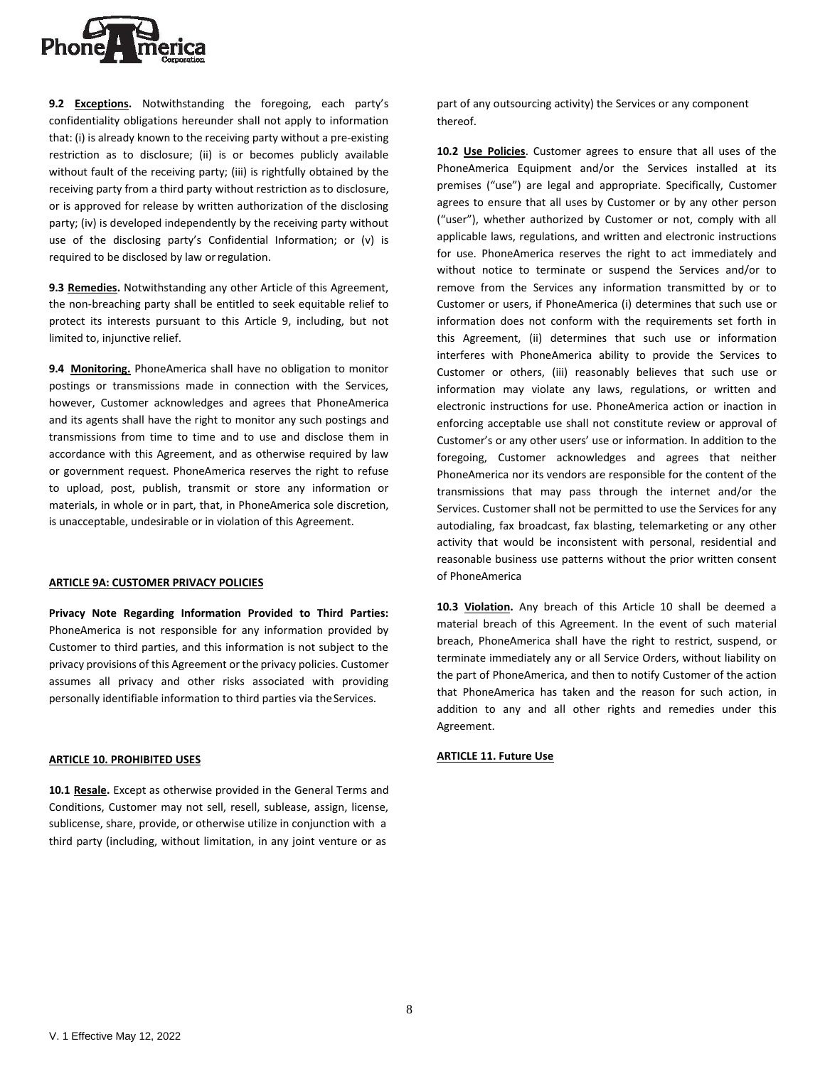

**9.2 Exceptions.** Notwithstanding the foregoing, each party's confidentiality obligations hereunder shall not apply to information that: (i) is already known to the receiving party without a pre-existing restriction as to disclosure; (ii) is or becomes publicly available without fault of the receiving party; (iii) is rightfully obtained by the receiving party from a third party without restriction as to disclosure, or is approved for release by written authorization of the disclosing party; (iv) is developed independently by the receiving party without use of the disclosing party's Confidential Information; or (v) is required to be disclosed by law orregulation.

**9.3 Remedies.** Notwithstanding any other Article of this Agreement, the non-breaching party shall be entitled to seek equitable relief to protect its interests pursuant to this Article 9, including, but not limited to, injunctive relief.

**9.4 Monitoring.** PhoneAmerica shall have no obligation to monitor postings or transmissions made in connection with the Services, however, Customer acknowledges and agrees that PhoneAmerica and its agents shall have the right to monitor any such postings and transmissions from time to time and to use and disclose them in accordance with this Agreement, and as otherwise required by law or government request. PhoneAmerica reserves the right to refuse to upload, post, publish, transmit or store any information or materials, in whole or in part, that, in PhoneAmerica sole discretion, is unacceptable, undesirable or in violation of this Agreement.

### **ARTICLE 9A: CUSTOMER PRIVACY POLICIES**

**Privacy Note Regarding Information Provided to Third Parties:**  PhoneAmerica is not responsible for any information provided by Customer to third parties, and this information is not subject to the privacy provisions of this Agreement or the privacy policies. Customer assumes all privacy and other risks associated with providing personally identifiable information to third parties via theServices.

#### **ARTICLE 10. PROHIBITED USES**

**10.1 Resale.** Except as otherwise provided in the General Terms and Conditions, Customer may not sell, resell, sublease, assign, license, sublicense, share, provide, or otherwise utilize in conjunction with a third party (including, without limitation, in any joint venture or as

part of any outsourcing activity) the Services or any component thereof.

**10.2 Use Policies**. Customer agrees to ensure that all uses of the PhoneAmerica Equipment and/or the Services installed at its premises ("use") are legal and appropriate. Specifically, Customer agrees to ensure that all uses by Customer or by any other person ("user"), whether authorized by Customer or not, comply with all applicable laws, regulations, and written and electronic instructions for use. PhoneAmerica reserves the right to act immediately and without notice to terminate or suspend the Services and/or to remove from the Services any information transmitted by or to Customer or users, if PhoneAmerica (i) determines that such use or information does not conform with the requirements set forth in this Agreement, (ii) determines that such use or information interferes with PhoneAmerica ability to provide the Services to Customer or others, (iii) reasonably believes that such use or information may violate any laws, regulations, or written and electronic instructions for use. PhoneAmerica action or inaction in enforcing acceptable use shall not constitute review or approval of Customer's or any other users' use or information. In addition to the foregoing, Customer acknowledges and agrees that neither PhoneAmerica nor its vendors are responsible for the content of the transmissions that may pass through the internet and/or the Services. Customer shall not be permitted to use the Services for any autodialing, fax broadcast, fax blasting, telemarketing or any other activity that would be inconsistent with personal, residential and reasonable business use patterns without the prior written consent of PhoneAmerica

**10.3 Violation.** Any breach of this Article 10 shall be deemed a material breach of this Agreement. In the event of such material breach, PhoneAmerica shall have the right to restrict, suspend, or terminate immediately any or all Service Orders, without liability on the part of PhoneAmerica, and then to notify Customer of the action that PhoneAmerica has taken and the reason for such action, in addition to any and all other rights and remedies under this Agreement.

#### **ARTICLE 11. Future Use**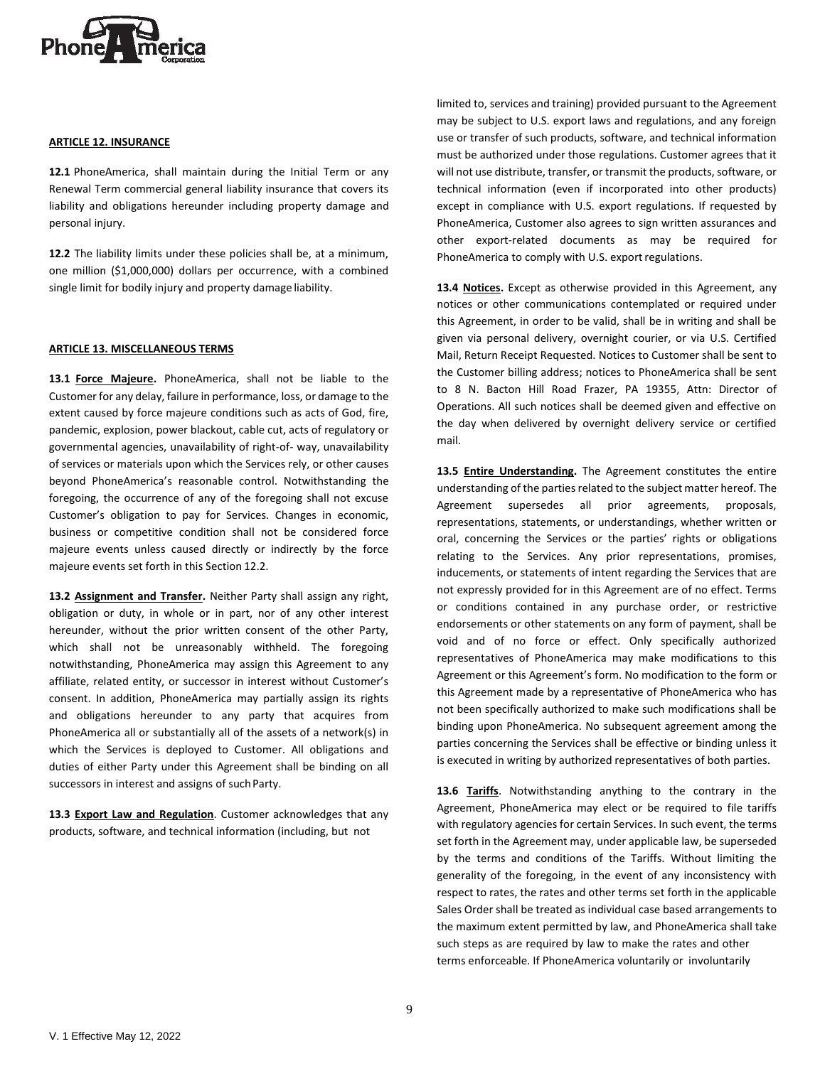

### **ARTICLE 12. INSURANCE**

**12.1** PhoneAmerica, shall maintain during the Initial Term or any Renewal Term commercial general liability insurance that covers its liability and obligations hereunder including property damage and personal injury.

**12.2** The liability limits under these policies shall be, at a minimum, one million (\$1,000,000) dollars per occurrence, with a combined single limit for bodily injury and property damage liability.

### **ARTICLE 13. MISCELLANEOUS TERMS**

**13.1 Force Majeure.** PhoneAmerica, shall not be liable to the Customer for any delay, failure in performance, loss, or damage to the extent caused by force majeure conditions such as acts of God, fire, pandemic, explosion, power blackout, cable cut, acts of regulatory or governmental agencies, unavailability of right-of- way, unavailability of services or materials upon which the Services rely, or other causes beyond PhoneAmerica's reasonable control. Notwithstanding the foregoing, the occurrence of any of the foregoing shall not excuse Customer's obligation to pay for Services. Changes in economic, business or competitive condition shall not be considered force majeure events unless caused directly or indirectly by the force majeure events set forth in this Section 12.2.

**13.2 Assignment and Transfer.** Neither Party shall assign any right, obligation or duty, in whole or in part, nor of any other interest hereunder, without the prior written consent of the other Party, which shall not be unreasonably withheld. The foregoing notwithstanding, PhoneAmerica may assign this Agreement to any affiliate, related entity, or successor in interest without Customer's consent. In addition, PhoneAmerica may partially assign its rights and obligations hereunder to any party that acquires from PhoneAmerica all or substantially all of the assets of a network(s) in which the Services is deployed to Customer. All obligations and duties of either Party under this Agreement shall be binding on all successors in interest and assigns of such Party.

**13.3 Export Law and Regulation**. Customer acknowledges that any products, software, and technical information (including, but not

limited to, services and training) provided pursuant to the Agreement may be subject to U.S. export laws and regulations, and any foreign use or transfer of such products, software, and technical information must be authorized under those regulations. Customer agrees that it will not use distribute, transfer, or transmit the products, software, or technical information (even if incorporated into other products) except in compliance with U.S. export regulations. If requested by PhoneAmerica, Customer also agrees to sign written assurances and other export-related documents as may be required for PhoneAmerica to comply with U.S. export regulations.

**13.4 Notices.** Except as otherwise provided in this Agreement, any notices or other communications contemplated or required under this Agreement, in order to be valid, shall be in writing and shall be given via personal delivery, overnight courier, or via U.S. Certified Mail, Return Receipt Requested. Notices to Customer shall be sent to the Customer billing address; notices to PhoneAmerica shall be sent to 8 N. Bacton Hill Road Frazer, PA 19355, Attn: Director of Operations. All such notices shall be deemed given and effective on the day when delivered by overnight delivery service or certified mail.

**13.5 Entire Understanding.** The Agreement constitutes the entire understanding of the parties related to the subject matter hereof. The Agreement supersedes all prior agreements, proposals, representations, statements, or understandings, whether written or oral, concerning the Services or the parties' rights or obligations relating to the Services. Any prior representations, promises, inducements, or statements of intent regarding the Services that are not expressly provided for in this Agreement are of no effect. Terms or conditions contained in any purchase order, or restrictive endorsements or other statements on any form of payment, shall be void and of no force or effect. Only specifically authorized representatives of PhoneAmerica may make modifications to this Agreement or this Agreement's form. No modification to the form or this Agreement made by a representative of PhoneAmerica who has not been specifically authorized to make such modifications shall be binding upon PhoneAmerica. No subsequent agreement among the parties concerning the Services shall be effective or binding unless it is executed in writing by authorized representatives of both parties.

**13.6 Tariffs**. Notwithstanding anything to the contrary in the Agreement, PhoneAmerica may elect or be required to file tariffs with regulatory agencies for certain Services. In such event, the terms set forth in the Agreement may, under applicable law, be superseded by the terms and conditions of the Tariffs. Without limiting the generality of the foregoing, in the event of any inconsistency with respect to rates, the rates and other terms set forth in the applicable Sales Order shall be treated as individual case based arrangements to the maximum extent permitted by law, and PhoneAmerica shall take such steps as are required by law to make the rates and other terms enforceable. If PhoneAmerica voluntarily or involuntarily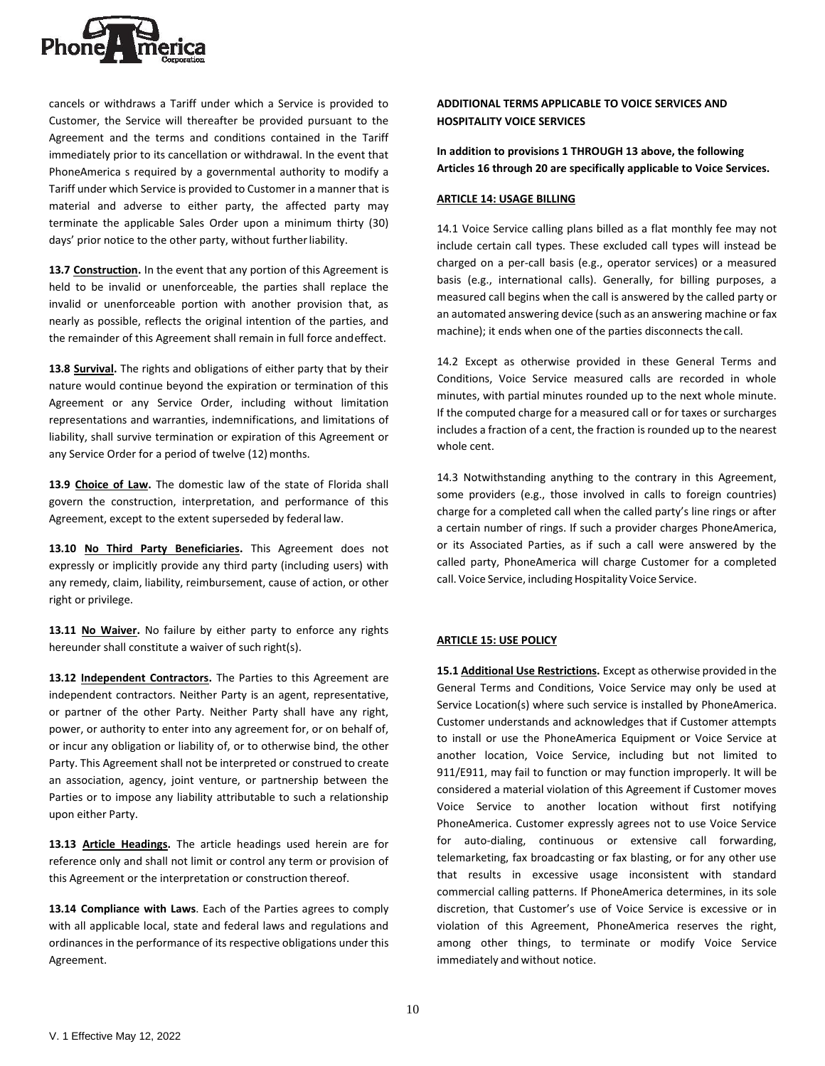

cancels or withdraws a Tariff under which a Service is provided to Customer, the Service will thereafter be provided pursuant to the Agreement and the terms and conditions contained in the Tariff immediately prior to its cancellation or withdrawal. In the event that PhoneAmerica s required by a governmental authority to modify a Tariff under which Service is provided to Customer in a manner that is material and adverse to either party, the affected party may terminate the applicable Sales Order upon a minimum thirty (30) days' prior notice to the other party, without furtherliability.

**13.7 Construction.** In the event that any portion of this Agreement is held to be invalid or unenforceable, the parties shall replace the invalid or unenforceable portion with another provision that, as nearly as possible, reflects the original intention of the parties, and the remainder of this Agreement shall remain in full force andeffect.

**13.8 Survival.** The rights and obligations of either party that by their nature would continue beyond the expiration or termination of this Agreement or any Service Order, including without limitation representations and warranties, indemnifications, and limitations of liability, shall survive termination or expiration of this Agreement or any Service Order for a period of twelve (12) months.

**13.9 Choice of Law.** The domestic law of the state of Florida shall govern the construction, interpretation, and performance of this Agreement, except to the extent superseded by federal law.

**13.10 No Third Party Beneficiaries.** This Agreement does not expressly or implicitly provide any third party (including users) with any remedy, claim, liability, reimbursement, cause of action, or other right or privilege.

**13.11 No Waiver.** No failure by either party to enforce any rights hereunder shall constitute a waiver of such right(s).

**13.12 Independent Contractors.** The Parties to this Agreement are independent contractors. Neither Party is an agent, representative, or partner of the other Party. Neither Party shall have any right, power, or authority to enter into any agreement for, or on behalf of, or incur any obligation or liability of, or to otherwise bind, the other Party. This Agreement shall not be interpreted or construed to create an association, agency, joint venture, or partnership between the Parties or to impose any liability attributable to such a relationship upon either Party.

**13.13 Article Headings.** The article headings used herein are for reference only and shall not limit or control any term or provision of this Agreement or the interpretation or construction thereof.

**13.14 Compliance with Laws**. Each of the Parties agrees to comply with all applicable local, state and federal laws and regulations and ordinances in the performance of its respective obligations under this Agreement.

# **ADDITIONAL TERMS APPLICABLE TO VOICE SERVICES AND HOSPITALITY VOICE SERVICES**

**In addition to provisions 1 THROUGH 13 above, the following Articles 16 through 20 are specifically applicable to Voice Services.**

## **ARTICLE 14: USAGE BILLING**

14.1 Voice Service calling plans billed as a flat monthly fee may not include certain call types. These excluded call types will instead be charged on a per-call basis (e.g., operator services) or a measured basis (e.g., international calls). Generally, for billing purposes, a measured call begins when the call is answered by the called party or an automated answering device (such as an answering machine or fax machine); it ends when one of the parties disconnects thecall.

14.2 Except as otherwise provided in these General Terms and Conditions, Voice Service measured calls are recorded in whole minutes, with partial minutes rounded up to the next whole minute. If the computed charge for a measured call or for taxes or surcharges includes a fraction of a cent, the fraction is rounded up to the nearest whole cent.

14.3 Notwithstanding anything to the contrary in this Agreement, some providers (e.g., those involved in calls to foreign countries) charge for a completed call when the called party's line rings or after a certain number of rings. If such a provider charges PhoneAmerica, or its Associated Parties, as if such a call were answered by the called party, PhoneAmerica will charge Customer for a completed call. Voice Service, including Hospitality Voice Service.

## **ARTICLE 15: USE POLICY**

**15.1 Additional Use Restrictions.** Except as otherwise provided in the General Terms and Conditions, Voice Service may only be used at Service Location(s) where such service is installed by PhoneAmerica. Customer understands and acknowledges that if Customer attempts to install or use the PhoneAmerica Equipment or Voice Service at another location, Voice Service, including but not limited to 911/E911, may fail to function or may function improperly. It will be considered a material violation of this Agreement if Customer moves Voice Service to another location without first notifying PhoneAmerica. Customer expressly agrees not to use Voice Service for auto-dialing, continuous or extensive call forwarding, telemarketing, fax broadcasting or fax blasting, or for any other use that results in excessive usage inconsistent with standard commercial calling patterns. If PhoneAmerica determines, in its sole discretion, that Customer's use of Voice Service is excessive or in violation of this Agreement, PhoneAmerica reserves the right, among other things, to terminate or modify Voice Service immediately and without notice.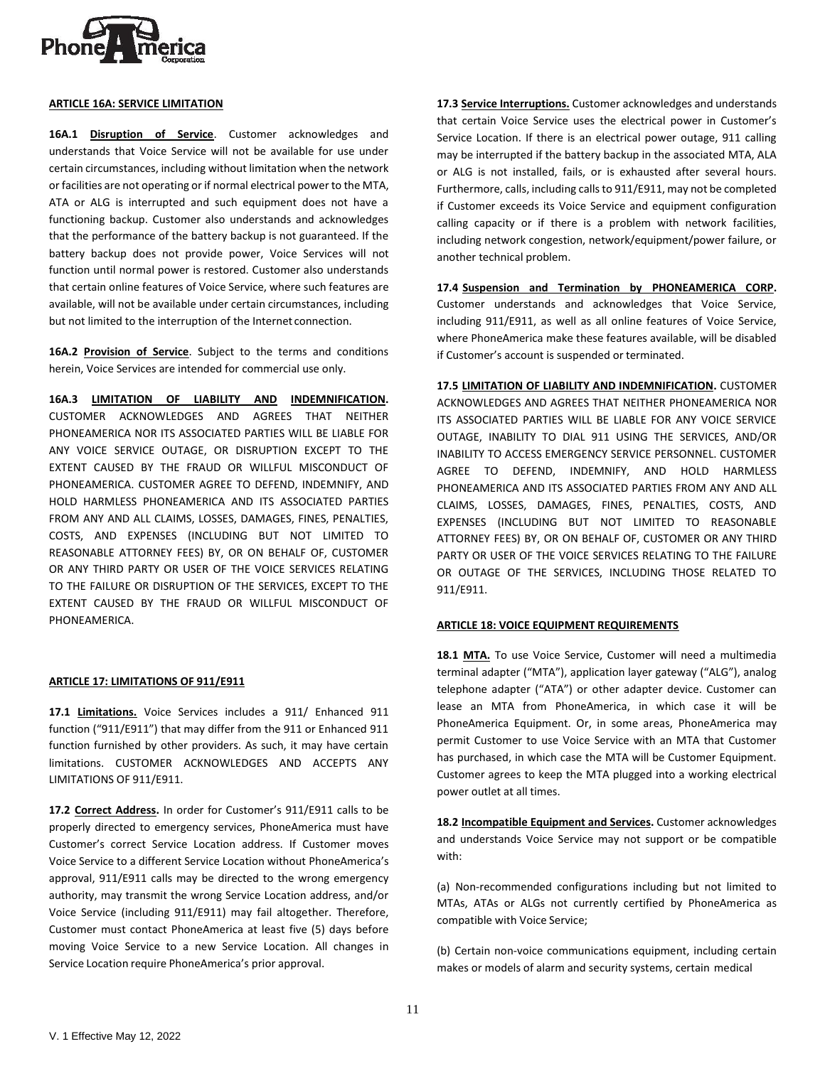

### **ARTICLE 16A: SERVICE LIMITATION**

**16A.1 Disruption of Service**. Customer acknowledges and understands that Voice Service will not be available for use under certain circumstances, including without limitation when the network or facilities are not operating or if normal electrical power to the MTA, ATA or ALG is interrupted and such equipment does not have a functioning backup. Customer also understands and acknowledges that the performance of the battery backup is not guaranteed. If the battery backup does not provide power, Voice Services will not function until normal power is restored. Customer also understands that certain online features of Voice Service, where such features are available, will not be available under certain circumstances, including but not limited to the interruption of the Internet connection.

**16A.2 Provision of Service**. Subject to the terms and conditions herein, Voice Services are intended for commercial use only.

**16A.3 LIMITATION OF LIABILITY AND INDEMNIFICATION.**  CUSTOMER ACKNOWLEDGES AND AGREES THAT NEITHER PHONEAMERICA NOR ITS ASSOCIATED PARTIES WILL BE LIABLE FOR ANY VOICE SERVICE OUTAGE, OR DISRUPTION EXCEPT TO THE EXTENT CAUSED BY THE FRAUD OR WILLFUL MISCONDUCT OF PHONEAMERICA. CUSTOMER AGREE TO DEFEND, INDEMNIFY, AND HOLD HARMLESS PHONEAMERICA AND ITS ASSOCIATED PARTIES FROM ANY AND ALL CLAIMS, LOSSES, DAMAGES, FINES, PENALTIES, COSTS, AND EXPENSES (INCLUDING BUT NOT LIMITED TO REASONABLE ATTORNEY FEES) BY, OR ON BEHALF OF, CUSTOMER OR ANY THIRD PARTY OR USER OF THE VOICE SERVICES RELATING TO THE FAILURE OR DISRUPTION OF THE SERVICES, EXCEPT TO THE EXTENT CAUSED BY THE FRAUD OR WILLFUL MISCONDUCT OF PHONEAMERICA.

### **ARTICLE 17: LIMITATIONS OF 911/E911**

**17.1 Limitations.** Voice Services includes a 911/ Enhanced 911 function ("911/E911") that may differ from the 911 or Enhanced 911 function furnished by other providers. As such, it may have certain limitations. CUSTOMER ACKNOWLEDGES AND ACCEPTS ANY LIMITATIONS OF 911/E911.

**17.2 Correct Address.** In order for Customer's 911/E911 calls to be properly directed to emergency services, PhoneAmerica must have Customer's correct Service Location address. If Customer moves Voice Service to a different Service Location without PhoneAmerica's approval, 911/E911 calls may be directed to the wrong emergency authority, may transmit the wrong Service Location address, and/or Voice Service (including 911/E911) may fail altogether. Therefore, Customer must contact PhoneAmerica at least five (5) days before moving Voice Service to a new Service Location. All changes in Service Location require PhoneAmerica's prior approval.

**17.3 Service Interruptions.** Customer acknowledges and understands that certain Voice Service uses the electrical power in Customer's Service Location. If there is an electrical power outage, 911 calling may be interrupted if the battery backup in the associated MTA, ALA or ALG is not installed, fails, or is exhausted after several hours. Furthermore, calls, including callsto 911/E911, may not be completed if Customer exceeds its Voice Service and equipment configuration calling capacity or if there is a problem with network facilities, including network congestion, network/equipment/power failure, or another technical problem.

**17.4 Suspension and Termination by PHONEAMERICA CORP.**  Customer understands and acknowledges that Voice Service, including 911/E911, as well as all online features of Voice Service, where PhoneAmerica make these features available, will be disabled if Customer's account is suspended or terminated.

**17.5 LIMITATION OF LIABILITY AND INDEMNIFICATION.** CUSTOMER ACKNOWLEDGES AND AGREES THAT NEITHER PHONEAMERICA NOR ITS ASSOCIATED PARTIES WILL BE LIABLE FOR ANY VOICE SERVICE OUTAGE, INABILITY TO DIAL 911 USING THE SERVICES, AND/OR INABILITY TO ACCESS EMERGENCY SERVICE PERSONNEL. CUSTOMER AGREE TO DEFEND, INDEMNIFY, AND HOLD HARMLESS PHONEAMERICA AND ITS ASSOCIATED PARTIES FROM ANY AND ALL CLAIMS, LOSSES, DAMAGES, FINES, PENALTIES, COSTS, AND EXPENSES (INCLUDING BUT NOT LIMITED TO REASONABLE ATTORNEY FEES) BY, OR ON BEHALF OF, CUSTOMER OR ANY THIRD PARTY OR USER OF THE VOICE SERVICES RELATING TO THE FAILURE OR OUTAGE OF THE SERVICES, INCLUDING THOSE RELATED TO 911/E911.

## **ARTICLE 18: VOICE EQUIPMENT REQUIREMENTS**

**18.1 MTA.** To use Voice Service, Customer will need a multimedia terminal adapter ("MTA"), application layer gateway ("ALG"), analog telephone adapter ("ATA") or other adapter device. Customer can lease an MTA from PhoneAmerica, in which case it will be PhoneAmerica Equipment. Or, in some areas, PhoneAmerica may permit Customer to use Voice Service with an MTA that Customer has purchased, in which case the MTA will be Customer Equipment. Customer agrees to keep the MTA plugged into a working electrical power outlet at all times.

**18.2 Incompatible Equipment and Services.** Customer acknowledges and understands Voice Service may not support or be compatible with:

(a) Non-recommended configurations including but not limited to MTAs, ATAs or ALGs not currently certified by PhoneAmerica as compatible with Voice Service;

(b) Certain non-voice communications equipment, including certain makes or models of alarm and security systems, certain medical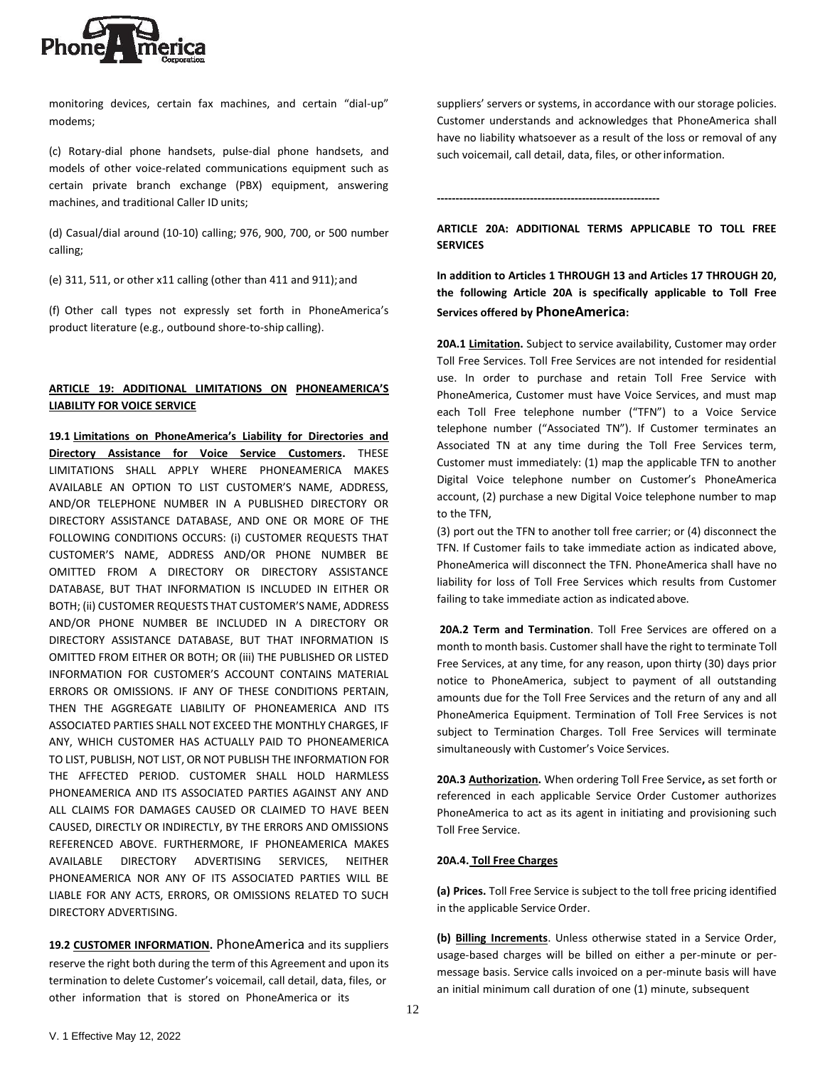

monitoring devices, certain fax machines, and certain "dial-up" modems;

(c) Rotary-dial phone handsets, pulse-dial phone handsets, and models of other voice-related communications equipment such as certain private branch exchange (PBX) equipment, answering machines, and traditional Caller ID units;

(d) Casual/dial around (10-10) calling; 976, 900, 700, or 500 number calling;

(e) 311, 511, or other x11 calling (other than 411 and 911); and

(f) Other call types not expressly set forth in PhoneAmerica's product literature (e.g., outbound shore-to-ship calling).

# **ARTICLE 19: ADDITIONAL LIMITATIONS ON PHONEAMERICA'S LIABILITY FOR VOICE SERVICE**

**19.1 Limitations on PhoneAmerica's Liability for Directories and Directory Assistance for Voice Service Customers.** THESE LIMITATIONS SHALL APPLY WHERE PHONEAMERICA MAKES AVAILABLE AN OPTION TO LIST CUSTOMER'S NAME, ADDRESS, AND/OR TELEPHONE NUMBER IN A PUBLISHED DIRECTORY OR DIRECTORY ASSISTANCE DATABASE, AND ONE OR MORE OF THE FOLLOWING CONDITIONS OCCURS: (i) CUSTOMER REQUESTS THAT CUSTOMER'S NAME, ADDRESS AND/OR PHONE NUMBER BE OMITTED FROM A DIRECTORY OR DIRECTORY ASSISTANCE DATABASE, BUT THAT INFORMATION IS INCLUDED IN EITHER OR BOTH; (ii) CUSTOMER REQUESTS THAT CUSTOMER'S NAME, ADDRESS AND/OR PHONE NUMBER BE INCLUDED IN A DIRECTORY OR DIRECTORY ASSISTANCE DATABASE, BUT THAT INFORMATION IS OMITTED FROM EITHER OR BOTH; OR (iii) THE PUBLISHED OR LISTED INFORMATION FOR CUSTOMER'S ACCOUNT CONTAINS MATERIAL ERRORS OR OMISSIONS. IF ANY OF THESE CONDITIONS PERTAIN, THEN THE AGGREGATE LIABILITY OF PHONEAMERICA AND ITS ASSOCIATED PARTIES SHALL NOT EXCEED THE MONTHLY CHARGES, IF ANY, WHICH CUSTOMER HAS ACTUALLY PAID TO PHONEAMERICA TO LIST, PUBLISH, NOT LIST, OR NOT PUBLISH THE INFORMATION FOR THE AFFECTED PERIOD. CUSTOMER SHALL HOLD HARMLESS PHONEAMERICA AND ITS ASSOCIATED PARTIES AGAINST ANY AND ALL CLAIMS FOR DAMAGES CAUSED OR CLAIMED TO HAVE BEEN CAUSED, DIRECTLY OR INDIRECTLY, BY THE ERRORS AND OMISSIONS REFERENCED ABOVE. FURTHERMORE, IF PHONEAMERICA MAKES AVAILABLE DIRECTORY ADVERTISING SERVICES, NEITHER PHONEAMERICA NOR ANY OF ITS ASSOCIATED PARTIES WILL BE LIABLE FOR ANY ACTS, ERRORS, OR OMISSIONS RELATED TO SUCH DIRECTORY ADVERTISING.

**19.2 CUSTOMER INFORMATION.** PhoneAmerica and its suppliers reserve the right both during the term of this Agreement and upon its termination to delete Customer's voicemail, call detail, data, files, or other information that is stored on PhoneAmerica or its

suppliers' servers or systems, in accordance with our storage policies. Customer understands and acknowledges that PhoneAmerica shall have no liability whatsoever as a result of the loss or removal of any such voicemail, call detail, data, files, or otherinformation.

**------------------------------------------------------------**

**ARTICLE 20A: ADDITIONAL TERMS APPLICABLE TO TOLL FREE SERVICES**

**In addition to Articles 1 THROUGH 13 and Articles 17 THROUGH 20, the following Article 20A is specifically applicable to Toll Free Services offered by PhoneAmerica:**

**20A.1 Limitation.** Subject to service availability, Customer may order Toll Free Services. Toll Free Services are not intended for residential use. In order to purchase and retain Toll Free Service with PhoneAmerica, Customer must have Voice Services, and must map each Toll Free telephone number ("TFN") to a Voice Service telephone number ("Associated TN"). If Customer terminates an Associated TN at any time during the Toll Free Services term, Customer must immediately: (1) map the applicable TFN to another Digital Voice telephone number on Customer's PhoneAmerica account, (2) purchase a new Digital Voice telephone number to map to the TFN,

(3) port out the TFN to another toll free carrier; or (4) disconnect the TFN. If Customer fails to take immediate action as indicated above, PhoneAmerica will disconnect the TFN. PhoneAmerica shall have no liability for loss of Toll Free Services which results from Customer failing to take immediate action as indicated above.

**20A.2 Term and Termination**. Toll Free Services are offered on a month to month basis. Customer shall have the right to terminate Toll Free Services, at any time, for any reason, upon thirty (30) days prior notice to PhoneAmerica, subject to payment of all outstanding amounts due for the Toll Free Services and the return of any and all PhoneAmerica Equipment. Termination of Toll Free Services is not subject to Termination Charges. Toll Free Services will terminate simultaneously with Customer's Voice Services.

**20A.3 Authorization.** When ordering Toll Free Service**,** as set forth or referenced in each applicable Service Order Customer authorizes PhoneAmerica to act as its agent in initiating and provisioning such Toll Free Service.

## **20A.4. Toll Free Charges**

**(a) Prices.** Toll Free Service is subject to the toll free pricing identified in the applicable Service Order.

**(b) Billing Increments**. Unless otherwise stated in a Service Order, usage-based charges will be billed on either a per-minute or permessage basis. Service calls invoiced on a per-minute basis will have an initial minimum call duration of one (1) minute, subsequent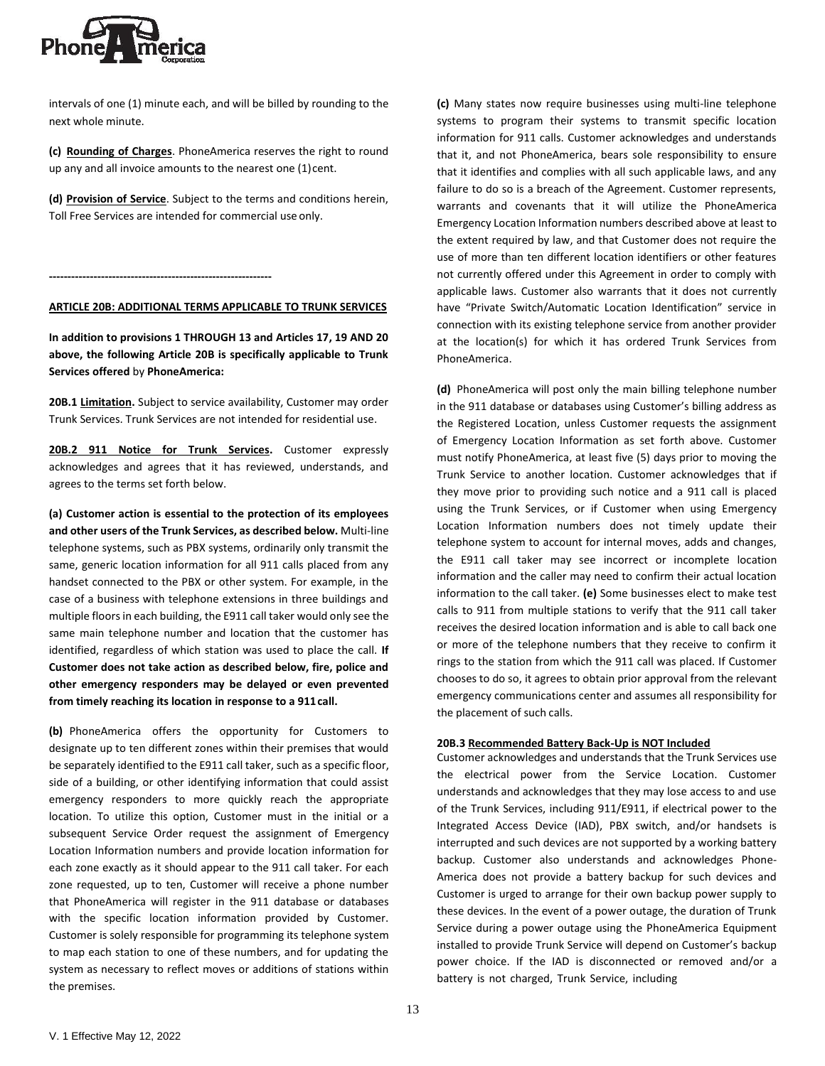

intervals of one (1) minute each, and will be billed by rounding to the next whole minute.

**(c) Rounding of Charges**. PhoneAmerica reserves the right to round up any and all invoice amounts to the nearest one (1) cent.

**(d) Provision of Service**. Subject to the terms and conditions herein, Toll Free Services are intended for commercial use only.

**------------------------------------------------------------**

#### **ARTICLE 20B: ADDITIONAL TERMS APPLICABLE TO TRUNK SERVICES**

**In addition to provisions 1 THROUGH 13 and Articles 17, 19 AND 20 above, the following Article 20B is specifically applicable to Trunk Services offered** by **PhoneAmerica:**

**20B.1 Limitation.** Subject to service availability, Customer may order Trunk Services. Trunk Services are not intended for residential use.

**20B.2 911 Notice for Trunk Services.** Customer expressly acknowledges and agrees that it has reviewed, understands, and agrees to the terms set forth below.

**(a) Customer action is essential to the protection of its employees and other users of the Trunk Services, as described below.** Multi-line telephone systems, such as PBX systems, ordinarily only transmit the same, generic location information for all 911 calls placed from any handset connected to the PBX or other system. For example, in the case of a business with telephone extensions in three buildings and multiple floors in each building, the E911 call taker would only see the same main telephone number and location that the customer has identified, regardless of which station was used to place the call. **If Customer does not take action as described below, fire, police and other emergency responders may be delayed or even prevented from timely reaching its location in response to a 911call.**

**(b)** PhoneAmerica offers the opportunity for Customers to designate up to ten different zones within their premises that would be separately identified to the E911 call taker, such as a specific floor, side of a building, or other identifying information that could assist emergency responders to more quickly reach the appropriate location. To utilize this option, Customer must in the initial or a subsequent Service Order request the assignment of Emergency Location Information numbers and provide location information for each zone exactly as it should appear to the 911 call taker. For each zone requested, up to ten, Customer will receive a phone number that PhoneAmerica will register in the 911 database or databases with the specific location information provided by Customer. Customer is solely responsible for programming its telephone system to map each station to one of these numbers, and for updating the system as necessary to reflect moves or additions of stations within the premises.

**(c)** Many states now require businesses using multi-line telephone systems to program their systems to transmit specific location information for 911 calls. Customer acknowledges and understands that it, and not PhoneAmerica, bears sole responsibility to ensure that it identifies and complies with all such applicable laws, and any failure to do so is a breach of the Agreement. Customer represents, warrants and covenants that it will utilize the PhoneAmerica Emergency Location Information numbers described above at least to the extent required by law, and that Customer does not require the use of more than ten different location identifiers or other features not currently offered under this Agreement in order to comply with applicable laws. Customer also warrants that it does not currently have "Private Switch/Automatic Location Identification" service in connection with its existing telephone service from another provider at the location(s) for which it has ordered Trunk Services from PhoneAmerica.

**(d)** PhoneAmerica will post only the main billing telephone number in the 911 database or databases using Customer's billing address as the Registered Location, unless Customer requests the assignment of Emergency Location Information as set forth above. Customer must notify PhoneAmerica, at least five (5) days prior to moving the Trunk Service to another location. Customer acknowledges that if they move prior to providing such notice and a 911 call is placed using the Trunk Services, or if Customer when using Emergency Location Information numbers does not timely update their telephone system to account for internal moves, adds and changes, the E911 call taker may see incorrect or incomplete location information and the caller may need to confirm their actual location information to the call taker. **(e)** Some businesses elect to make test calls to 911 from multiple stations to verify that the 911 call taker receives the desired location information and is able to call back one or more of the telephone numbers that they receive to confirm it rings to the station from which the 911 call was placed. If Customer chooses to do so, it agrees to obtain prior approval from the relevant emergency communications center and assumes all responsibility for the placement of such calls.

#### **20B.3 Recommended Battery Back-Up is NOT Included**

Customer acknowledges and understands that the Trunk Services use the electrical power from the Service Location. Customer understands and acknowledges that they may lose access to and use of the Trunk Services, including 911/E911, if electrical power to the Integrated Access Device (IAD), PBX switch, and/or handsets is interrupted and such devices are not supported by a working battery backup. Customer also understands and acknowledges Phone-America does not provide a battery backup for such devices and Customer is urged to arrange for their own backup power supply to these devices. In the event of a power outage, the duration of Trunk Service during a power outage using the PhoneAmerica Equipment installed to provide Trunk Service will depend on Customer's backup power choice. If the IAD is disconnected or removed and/or a battery is not charged, Trunk Service, including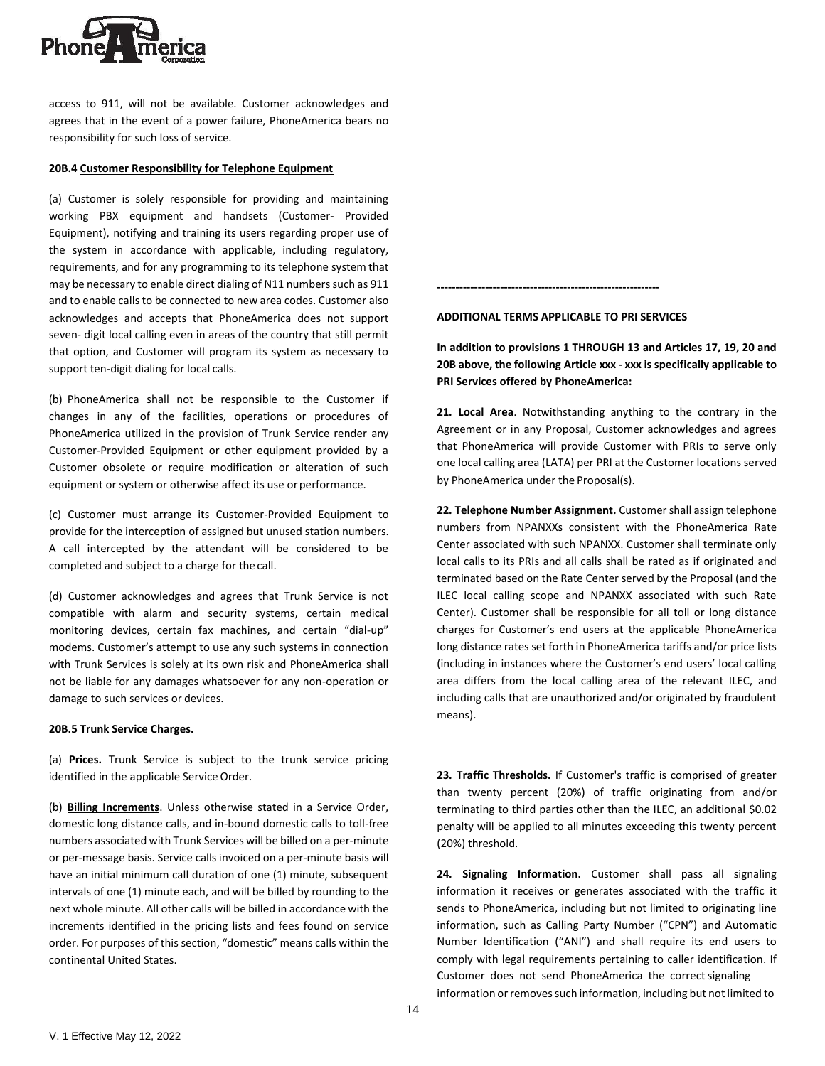

access to 911, will not be available. Customer acknowledges and agrees that in the event of a power failure, PhoneAmerica bears no responsibility for such loss of service.

### **20B.4 Customer Responsibility for Telephone Equipment**

(a) Customer is solely responsible for providing and maintaining working PBX equipment and handsets (Customer- Provided Equipment), notifying and training its users regarding proper use of the system in accordance with applicable, including regulatory, requirements, and for any programming to its telephone system that may be necessary to enable direct dialing of N11 numbers such as 911 and to enable calls to be connected to new area codes. Customer also acknowledges and accepts that PhoneAmerica does not support seven- digit local calling even in areas of the country that still permit that option, and Customer will program its system as necessary to support ten-digit dialing for local calls.

(b) PhoneAmerica shall not be responsible to the Customer if changes in any of the facilities, operations or procedures of PhoneAmerica utilized in the provision of Trunk Service render any Customer-Provided Equipment or other equipment provided by a Customer obsolete or require modification or alteration of such equipment or system or otherwise affect its use or performance.

(c) Customer must arrange its Customer-Provided Equipment to provide for the interception of assigned but unused station numbers. A call intercepted by the attendant will be considered to be completed and subject to a charge for the call.

(d) Customer acknowledges and agrees that Trunk Service is not compatible with alarm and security systems, certain medical monitoring devices, certain fax machines, and certain "dial-up" modems. Customer's attempt to use any such systems in connection with Trunk Services is solely at its own risk and PhoneAmerica shall not be liable for any damages whatsoever for any non-operation or damage to such services or devices.

#### **20B.5 Trunk Service Charges.**

(a) **Prices.** Trunk Service is subject to the trunk service pricing identified in the applicable Service Order.

(b) **Billing Increments**. Unless otherwise stated in a Service Order, domestic long distance calls, and in-bound domestic calls to toll-free numbers associated with Trunk Services will be billed on a per-minute or per-message basis. Service calls invoiced on a per-minute basis will have an initial minimum call duration of one (1) minute, subsequent intervals of one (1) minute each, and will be billed by rounding to the next whole minute. All other calls will be billed in accordance with the increments identified in the pricing lists and fees found on service order. For purposes of this section, "domestic" means calls within the continental United States.

**ADDITIONAL TERMS APPLICABLE TO PRI SERVICES**

**------------------------------------------------------------**

**In addition to provisions 1 THROUGH 13 and Articles 17, 19, 20 and 20B above, the following Article xxx - xxx is specifically applicable to PRI Services offered by PhoneAmerica:**

**21. Local Area**. Notwithstanding anything to the contrary in the Agreement or in any Proposal, Customer acknowledges and agrees that PhoneAmerica will provide Customer with PRIs to serve only one local calling area (LATA) per PRI at the Customer locations served by PhoneAmerica under the Proposal(s).

**22. Telephone Number Assignment.** Customershall assign telephone numbers from NPANXXs consistent with the PhoneAmerica Rate Center associated with such NPANXX. Customer shall terminate only local calls to its PRIs and all calls shall be rated as if originated and terminated based on the Rate Center served by the Proposal (and the ILEC local calling scope and NPANXX associated with such Rate Center). Customer shall be responsible for all toll or long distance charges for Customer's end users at the applicable PhoneAmerica long distance rates set forth in PhoneAmerica tariffs and/or price lists (including in instances where the Customer's end users' local calling area differs from the local calling area of the relevant ILEC, and including calls that are unauthorized and/or originated by fraudulent means).

**23. Traffic Thresholds.** If Customer's traffic is comprised of greater than twenty percent (20%) of traffic originating from and/or terminating to third parties other than the ILEC, an additional \$0.02 penalty will be applied to all minutes exceeding this twenty percent (20%) threshold.

**24. Signaling Information.** Customer shall pass all signaling information it receives or generates associated with the traffic it sends to PhoneAmerica, including but not limited to originating line information, such as Calling Party Number ("CPN") and Automatic Number Identification ("ANI") and shall require its end users to comply with legal requirements pertaining to caller identification. If Customer does not send PhoneAmerica the correct signaling information or removes such information, including but not limited to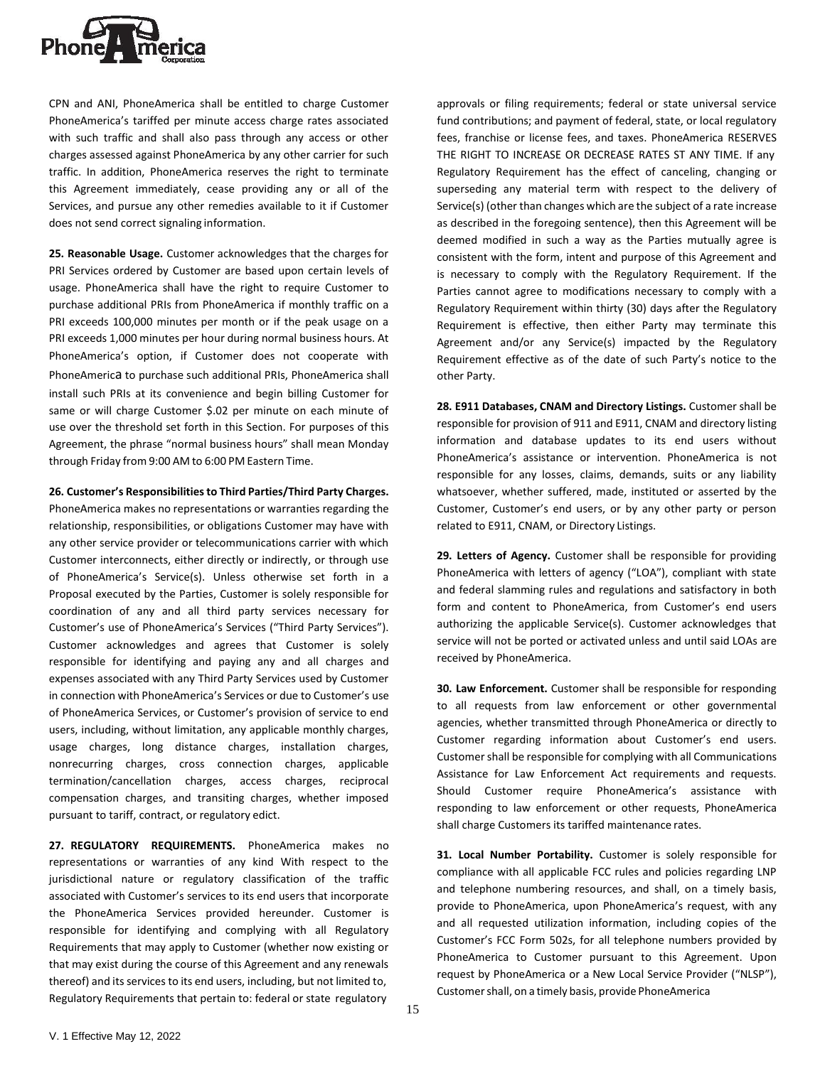

CPN and ANI, PhoneAmerica shall be entitled to charge Customer PhoneAmerica's tariffed per minute access charge rates associated with such traffic and shall also pass through any access or other charges assessed against PhoneAmerica by any other carrier for such traffic. In addition, PhoneAmerica reserves the right to terminate this Agreement immediately, cease providing any or all of the Services, and pursue any other remedies available to it if Customer does not send correct signaling information.

**25. Reasonable Usage.** Customer acknowledges that the charges for PRI Services ordered by Customer are based upon certain levels of usage. PhoneAmerica shall have the right to require Customer to purchase additional PRIs from PhoneAmerica if monthly traffic on a PRI exceeds 100,000 minutes per month or if the peak usage on a PRI exceeds 1,000 minutes per hour during normal business hours. At PhoneAmerica's option, if Customer does not cooperate with PhoneAmerica to purchase such additional PRIs, PhoneAmerica shall install such PRIs at its convenience and begin billing Customer for same or will charge Customer \$.02 per minute on each minute of use over the threshold set forth in this Section. For purposes of this Agreement, the phrase "normal business hours" shall mean Monday through Friday from 9:00 AM to 6:00 PM Eastern Time.

**26. Customer's Responsibilitiesto Third Parties/Third Party Charges.** 

PhoneAmerica makes no representations or warranties regarding the relationship, responsibilities, or obligations Customer may have with any other service provider or telecommunications carrier with which Customer interconnects, either directly or indirectly, or through use of PhoneAmerica's Service(s). Unless otherwise set forth in a Proposal executed by the Parties, Customer is solely responsible for coordination of any and all third party services necessary for Customer's use of PhoneAmerica's Services ("Third Party Services"). Customer acknowledges and agrees that Customer is solely responsible for identifying and paying any and all charges and expenses associated with any Third Party Services used by Customer in connection with PhoneAmerica's Services or due to Customer's use of PhoneAmerica Services, or Customer's provision of service to end users, including, without limitation, any applicable monthly charges, usage charges, long distance charges, installation charges, nonrecurring charges, cross connection charges, applicable termination/cancellation charges, access charges, reciprocal compensation charges, and transiting charges, whether imposed pursuant to tariff, contract, or regulatory edict.

**27. REGULATORY REQUIREMENTS.** PhoneAmerica makes no representations or warranties of any kind With respect to the jurisdictional nature or regulatory classification of the traffic associated with Customer's services to its end users that incorporate the PhoneAmerica Services provided hereunder. Customer is responsible for identifying and complying with all Regulatory Requirements that may apply to Customer (whether now existing or that may exist during the course of this Agreement and any renewals thereof) and its services to its end users, including, but not limited to, Regulatory Requirements that pertain to: federal or state regulatory

approvals or filing requirements; federal or state universal service fund contributions; and payment of federal, state, or local regulatory fees, franchise or license fees, and taxes. PhoneAmerica RESERVES THE RIGHT TO INCREASE OR DECREASE RATES ST ANY TIME. If any Regulatory Requirement has the effect of canceling, changing or superseding any material term with respect to the delivery of Service(s) (other than changes which are the subject of a rate increase as described in the foregoing sentence), then this Agreement will be deemed modified in such a way as the Parties mutually agree is consistent with the form, intent and purpose of this Agreement and is necessary to comply with the Regulatory Requirement. If the Parties cannot agree to modifications necessary to comply with a Regulatory Requirement within thirty (30) days after the Regulatory Requirement is effective, then either Party may terminate this Agreement and/or any Service(s) impacted by the Regulatory Requirement effective as of the date of such Party's notice to the other Party.

**28. E911 Databases, CNAM and Directory Listings.** Customer shall be responsible for provision of 911 and E911, CNAM and directory listing information and database updates to its end users without PhoneAmerica's assistance or intervention. PhoneAmerica is not responsible for any losses, claims, demands, suits or any liability whatsoever, whether suffered, made, instituted or asserted by the Customer, Customer's end users, or by any other party or person related to E911, CNAM, or Directory Listings.

**29. Letters of Agency.** Customer shall be responsible for providing PhoneAmerica with letters of agency ("LOA"), compliant with state and federal slamming rules and regulations and satisfactory in both form and content to PhoneAmerica, from Customer's end users authorizing the applicable Service(s). Customer acknowledges that service will not be ported or activated unless and until said LOAs are received by PhoneAmerica.

**30. Law Enforcement.** Customer shall be responsible for responding to all requests from law enforcement or other governmental agencies, whether transmitted through PhoneAmerica or directly to Customer regarding information about Customer's end users. Customer shall be responsible for complying with all Communications Assistance for Law Enforcement Act requirements and requests. Should Customer require PhoneAmerica's assistance with responding to law enforcement or other requests, PhoneAmerica shall charge Customers its tariffed maintenance rates.

**31. Local Number Portability.** Customer is solely responsible for compliance with all applicable FCC rules and policies regarding LNP and telephone numbering resources, and shall, on a timely basis, provide to PhoneAmerica, upon PhoneAmerica's request, with any and all requested utilization information, including copies of the Customer's FCC Form 502s, for all telephone numbers provided by PhoneAmerica to Customer pursuant to this Agreement. Upon request by PhoneAmerica or a New Local Service Provider ("NLSP"), Customer shall, on a timely basis, provide PhoneAmerica